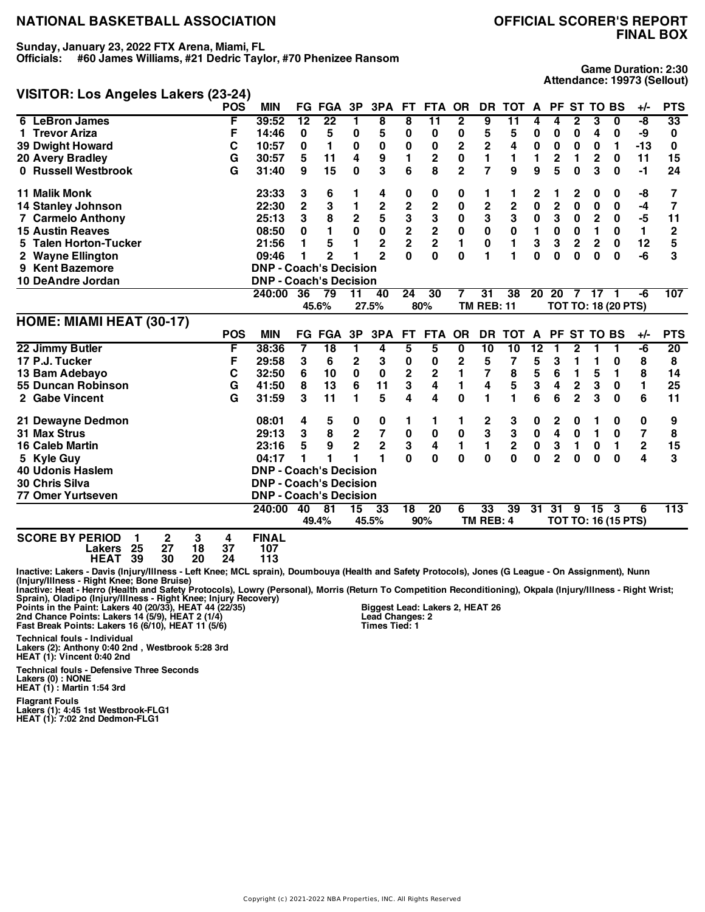#### **Sunday, January 23, 2022 FTX Arena, Miami, FL**

**Officials: #60 James Williams, #21 Dedric Taylor, #70 Phenizee Ransom**

### **VISITOR: Los Angeles Lakers (23-24)**

**Game Duration: 2:30 Attendance: 19973 (Sellout)**

|                                                  | <b>POS</b> | <b>MIN</b>                    |                 | <b>FG FGA</b>   | 3P             | 3PA            | <b>FT</b>               | <b>FTA</b>              | <b>OR</b>    | <b>DR</b>               | <b>TOT</b>      | A               | <b>PF</b>               | <b>ST</b>      | <b>TO BS</b>            |                            | +/-          | <b>PTS</b>  |
|--------------------------------------------------|------------|-------------------------------|-----------------|-----------------|----------------|----------------|-------------------------|-------------------------|--------------|-------------------------|-----------------|-----------------|-------------------------|----------------|-------------------------|----------------------------|--------------|-------------|
| 6 LeBron James                                   | F          | 39:52                         | $\overline{12}$ | $\overline{22}$ | 1              | 8              | 8                       | 11                      | $\mathbf{2}$ | 9                       | $\overline{11}$ | 4               | 4                       | 2              | 3                       | $\overline{0}$             | -8           | 33          |
| 1 Trevor Ariza                                   | F          | 14:46                         | 0               | 5               | 0              | 5              | 0                       | 0                       | 0            | 5                       | 5               | 0               | 0                       | 0              | 4                       | 0                          | -9           | 0           |
| <b>39 Dwight Howard</b>                          | C          | 10:57                         | 0               | 1               | 0              | $\bf{0}$       | 0                       | 0                       | 2            | $\mathbf 2$             | 4               | $\pmb{0}$       | 0                       | 0              | 0                       | 1                          | $-13$        | 0           |
| <b>20 Avery Bradley</b>                          | G          | 30:57                         | 5               | 11              | 4              | 9              | 1                       | 2                       | 0            | 1                       | 1               | 1               | 2                       | 1              | $\mathbf{2}$            | 0                          | 11           | 15          |
| 0 Russell Westbrook                              | G          | 31:40                         | 9               | 15              | 0              | 3              | 6                       | 8                       | $\mathbf{2}$ | $\overline{7}$          | 9               | 9               | 5                       | 0              | 3                       | 0                          | -1           | 24          |
| <b>11 Malik Monk</b>                             |            | 23:33                         | 3               | 6               | 1              | 4              | 0                       | $\boldsymbol{0}$        | 0            | 1                       | 1               | 2               | 1                       | 2              | 0                       | 0                          | -8           | 7           |
| <b>14 Stanley Johnson</b>                        |            | 22:30                         | $\overline{2}$  | 3               | 1              | $\mathbf 2$    | $\overline{\mathbf{c}}$ | $\overline{\mathbf{c}}$ | 0            | $\overline{\mathbf{c}}$ | $\mathbf 2$     | 0               | $\overline{2}$          | $\bf{0}$       | 0                       | 0                          | -4           | 7           |
| <b>7 Carmelo Anthony</b>                         |            | 25:13                         | 3               | 8               | $\mathbf 2$    | 5              | 3                       | 3                       | 0            | 3                       | 3               | $\pmb{0}$       | 3                       | 0              | $\overline{\mathbf{c}}$ | 0                          | -5           | 11          |
| <b>15 Austin Reaves</b>                          |            | 08:50                         | 0               | 1               | $\mathbf 0$    | $\mathbf 0$    | $\overline{\mathbf{c}}$ | $\overline{\mathbf{2}}$ | $\mathbf 0$  | $\mathbf 0$             | $\mathbf 0$     | 1               | $\mathbf 0$             | $\mathbf 0$    | $\mathbf{1}$            | $\bf{0}$                   | $\mathbf{1}$ | $\mathbf 2$ |
| <b>Talen Horton-Tucker</b>                       |            | 21:56                         | 1               | 5               | 1              | $\overline{2}$ | $\overline{2}$          | $\overline{2}$          | 1            | 0                       | 1               | 3               | 3                       | $\mathbf 2$    | $\overline{2}$          | 0                          | 12           | 5           |
| <b>Wayne Ellington</b>                           |            | 09:46                         | 1               | $\overline{2}$  |                | $\mathbf{2}$   | 0                       | 0                       | $\bf{0}$     | 1                       | 1               | $\bf{0}$        | $\bf{0}$                | $\bf{0}$       | $\bf{0}$                | $\bf{0}$                   | -6           | 3           |
| <b>Kent Bazemore</b><br>9                        |            | <b>DNP - Coach's Decision</b> |                 |                 |                |                |                         |                         |              |                         |                 |                 |                         |                |                         |                            |              |             |
| 10 DeAndre Jordan                                |            | <b>DNP - Coach's Decision</b> |                 |                 |                |                |                         |                         |              |                         |                 |                 |                         |                |                         |                            |              |             |
|                                                  |            | 240:00                        | 36              | $\overline{79}$ | 11             | 40             | 24                      | 30                      | 7            | $\overline{31}$         | 38              | 20              | 20                      | 7              | 17                      |                            | -6           | 107         |
|                                                  |            |                               |                 | 45.6%           |                | 27.5%          |                         | 80%                     |              | <b>TM REB: 11</b>       |                 |                 |                         |                |                         | <b>TOT TO: 18 (20 PTS)</b> |              |             |
| HOME: MIAMI HEAT (30-17)                         |            |                               |                 |                 |                |                |                         |                         |              |                         |                 |                 |                         |                |                         |                            |              |             |
|                                                  | <b>POS</b> | <b>MIN</b>                    |                 | <b>FG FGA</b>   | 3P             | 3PA            | <b>FT</b>               | <b>FTA</b>              | <b>OR</b>    |                         | DR TOT          | $\mathbf{A}$    |                         |                | PF ST TO BS             |                            | $+/-$        | <b>PTS</b>  |
| 22 Jimmy Butler                                  | F          | 38:36                         | 7               | $\overline{18}$ | 1              | 4              | 5                       | 5                       | 0            | 10                      | $\overline{10}$ | $\overline{12}$ | 1                       | 2              | 1                       | 1                          | -6           | 20          |
| 17 P.J. Tucker                                   | F          | 29:58                         | 3               | 6               | $\mathbf 2$    | 3              | 0                       | 0                       | 2            | 5                       | 7               | 5               | 3                       | 1              | 1                       | 0                          | 8            | 8           |
| 13 Bam Adebayo                                   | C          | 32:50                         | 6               | 10              | $\bf{0}$       | $\bf{0}$       | $\overline{\mathbf{2}}$ | $\overline{\mathbf{2}}$ | 1            | $\overline{\mathbf{z}}$ | 8               | 5               | 6                       | 1              | 5                       | 1                          | 8            | 14          |
| 55 Duncan Robinson                               | G          | 41:50                         | 8               | 13              | 6              | 11             | 3                       | 4                       | 1            | 4                       | 5               | 3               | 4                       | $\mathbf 2$    | 3                       | 0                          | 1            | 25          |
| 2 Gabe Vincent                                   | G          | 31:59                         | 3               | 11              | 1              | 5              | 4                       | 4                       | $\bf{0}$     | 1                       | 1               | 6               | 6                       | $\overline{2}$ | 3                       | $\bf{0}$                   | 6            | 11          |
| 21 Dewayne Dedmon                                |            | 08:01                         | 4               | 5               | 0              | 0              | 1                       | 1                       | 1            | 2                       | 3               | 0               | 2                       | 0              | 1                       | 0                          | 0            | 9           |
| 31 Max Strus                                     |            | 29:13                         | 3               | 8               | $\mathbf 2$    | 7              | $\pmb{0}$               | 0                       | 0            | 3                       | 3               | $\pmb{0}$       | $\overline{\mathbf{4}}$ | $\bf{0}$       | 1                       | $\bf{0}$                   | 7            | 8           |
| <b>16 Caleb Martin</b>                           |            | 23:16                         | 5               | 9               | $\overline{2}$ | $\overline{2}$ | 3                       | 4                       | 1            | 1                       | $\overline{2}$  | $\mathbf 0$     | 3                       | 1              | 0                       | 1                          | $\mathbf 2$  | 15          |
| 5 Kyle Guy                                       |            | 04:17                         | 1               | 1               |                | 1              | $\Omega$                | $\mathbf 0$             | $\bf{0}$     | $\bf{0}$                | $\mathbf{0}$    | $\bf{0}$        | $\overline{2}$          | $\bf{0}$       | $\bf{0}$                | $\bf{0}$                   | 4            | 3           |
| <b>40 Udonis Haslem</b>                          |            | <b>DNP - Coach's Decision</b> |                 |                 |                |                |                         |                         |              |                         |                 |                 |                         |                |                         |                            |              |             |
| 30 Chris Silva                                   |            | <b>DNP - Coach's Decision</b> |                 |                 |                |                |                         |                         |              |                         |                 |                 |                         |                |                         |                            |              |             |
| <b>77 Omer Yurtseven</b>                         |            | <b>DNP - Coach's Decision</b> |                 |                 |                |                |                         |                         |              |                         |                 |                 |                         |                |                         |                            |              |             |
|                                                  |            | 240:00                        | 40              | - 81            | 15             | 33             | $\overline{18}$         | 20                      | 6            | 33                      | 39              | 31              | 31                      |                | 9 15                    | 3                          | 6            | 113         |
|                                                  |            |                               |                 | 49.4%           |                | 45.5%          |                         | 90%                     |              | TM REB: 4               |                 |                 |                         |                |                         | <b>TOT TO: 16 (15 PTS)</b> |              |             |
| $\mathbf{2}$<br>3<br><b>SCORE BY PERIOD</b><br>1 | 4          | <b>FINAL</b>                  |                 |                 |                |                |                         |                         |              |                         |                 |                 |                         |                |                         |                            |              |             |

**Lakers 25 27 18 37 107**

**HEAT 39 30 20 24 113**

Inactive: Lakers - Davis (Injury/Illness - Left Knee; MCL sprain), Doumbouya (Health and Safety Protocols), Jones (G League - On Assignment), Nunn<br>(Injury/Illness - Right Knee; Bone Bruise)<br>Inactive: Heat - Hero (IHealth a

**Lead Changes: 2 Times Tied: 1**

2nd Chance Points: Lakers 14 (5/9), HEAT 2 (1/4)<br>Fast Break Points: Lakers 16 (6/10), HEAT 11 (5/6)

**Technical fouls - Individual**

**Lakers (2): Anthony 0:40 2nd , Westbrook 5:28 3rd HEAT (1): Vincent 0:40 2nd**

**Technical fouls - Defensive Three Seconds**

**Lakers (0) : NONE HEAT (1) : Martin 1:54 3rd**

**Flagrant Fouls**

**Lakers (1): 4:45 1st Westbrook-FLG1 HEAT (1): 7:02 2nd Dedmon-FLG1**

Copyright (c) 2021-2022 NBA Properties, INC. All Rights Reserved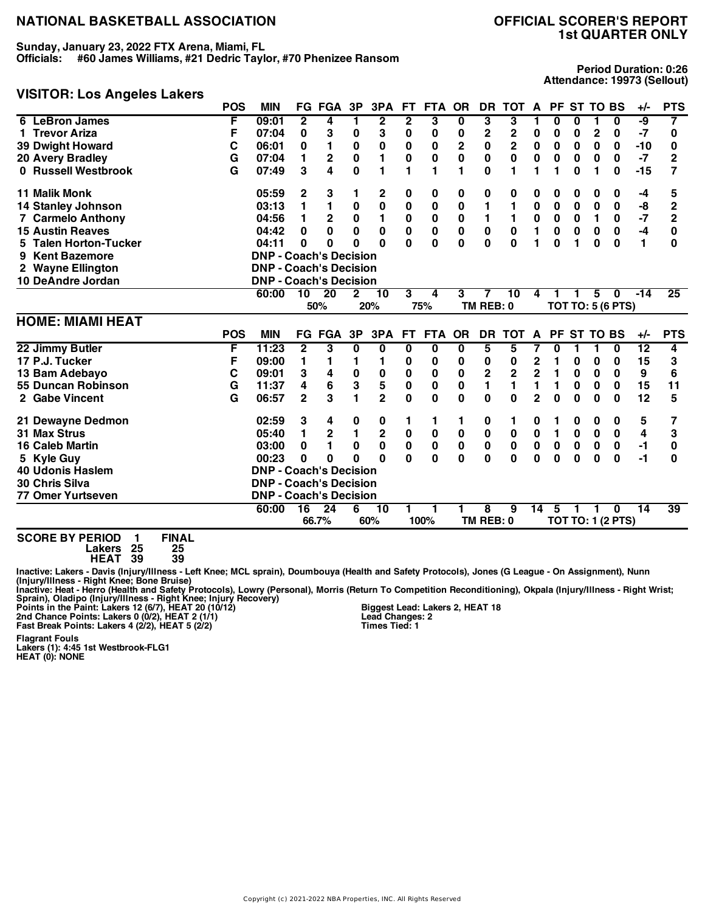**Sunday, January 23, 2022 FTX Arena, Miami, FL**

**Officials: #60 James Williams, #21 Dedric Taylor, #70 Phenizee Ransom**

#### **VISITOR: Los Angeles Lakers**

**Period Duration: 0:26 Attendance: 19973 (Sellout)**

|                                 | <b>POS</b> | <b>MIN</b>                    |                | <b>FG FGA</b>   | 3P           | 3PA             | FT.          | <b>FTA</b>  | <b>OR</b>      | <b>DR</b>    | <b>TOT</b>              | A                       | PF.       |             | <b>ST TO BS</b> |                          | $+/-$           | <b>PTS</b>     |
|---------------------------------|------------|-------------------------------|----------------|-----------------|--------------|-----------------|--------------|-------------|----------------|--------------|-------------------------|-------------------------|-----------|-------------|-----------------|--------------------------|-----------------|----------------|
| <b>LeBron James</b><br>6        | F          | 09:01                         | 2              | 4               | 1            | 2               | 2            | 3           | 0              | 3            | 3                       |                         | 0         | 0           |                 | 0                        | -9              | 7              |
| 1 Trevor Ariza                  | F          | 07:04                         | 0              | 3               | 0            | 3               | 0            | 0           | 0              | 2            | 2                       | 0                       | 0         | 0           | $\mathbf{2}$    | 0                        | $-7$            | 0              |
| <b>39 Dwight Howard</b>         | С          | 06:01                         | 0              | 1               | $\bf{0}$     | 0               | 0            | 0           | $\overline{2}$ | 0            | $\overline{\mathbf{2}}$ | 0                       | 0         | 0           | 0               | 0                        | $-10$           | 0              |
| 20 Avery Bradley                | G          | 07:04                         | 1              | 2               | $\pmb{0}$    | 1               | 0            | 0           | 0              | 0            | 0                       | $\mathbf 0$             | $\bf{0}$  | 0           | 0               | 0                        | -7              | 2              |
| 0 Russell Westbrook             | G          | 07:49                         | 3              | 4               | $\mathbf{0}$ | 1               | 1            | 1           | 1              | 0            | 1                       | 1                       | 1         | $\bf{0}$    | 1               | 0                        | $-15$           | 7              |
| <b>11 Malik Monk</b>            |            | 05:59                         | 2              | 3               | 1            | 2               | 0            | 0           | 0              | 0            | 0                       | 0                       | 0         | 0           | 0               | 0                        | -4              | 5              |
| <b>14 Stanley Johnson</b>       |            | 03:13                         | 1              | 1               | 0            | $\bf{0}$        | 0            | 0           | 0              | 1            | 1                       | $\mathbf 0$             | 0         | 0           | 0               | 0                        | -8              | $\overline{2}$ |
| 7 Carmelo Anthony               |            | 04:56                         | 1              | $\mathbf{2}$    | $\pmb{0}$    | 1               | $\pmb{0}$    | $\pmb{0}$   | 0              | 1            | 1                       | 0                       | 0         | 0           | 1               | 0                        | $-7$            | $\overline{2}$ |
| <b>15 Austin Reaves</b>         |            | 04:42                         | 0              | 0               | $\mathbf 0$  | $\bf{0}$        | $\mathbf 0$  | $\mathbf 0$ | $\mathbf 0$    | $\mathbf 0$  | $\bf{0}$                | 1                       | $\bf{0}$  | $\bf{0}$    | $\mathbf 0$     | $\mathbf 0$              | $-4$            | 0              |
| <b>Talen Horton-Tucker</b><br>5 |            | 04:11                         | 0              | 0               | O            | O               | $\Omega$     | $\bf{0}$    | $\bf{0}$       | $\mathbf{0}$ | $\Omega$                | 1                       | 0         | 1           | $\bf{0}$        | $\bf{0}$                 | 1               | 0              |
| <b>Kent Bazemore</b><br>9       |            | <b>DNP - Coach's Decision</b> |                |                 |              |                 |              |             |                |              |                         |                         |           |             |                 |                          |                 |                |
| 2 Wayne Ellington               |            | <b>DNP - Coach's Decision</b> |                |                 |              |                 |              |             |                |              |                         |                         |           |             |                 |                          |                 |                |
| 10 DeAndre Jordan               |            | <b>DNP - Coach's Decision</b> |                |                 |              |                 |              |             |                |              |                         |                         |           |             |                 |                          |                 |                |
|                                 |            | 60:00                         | 10             | $\overline{20}$ | 2            | 10              | 3            | 4           | 3              | 7            | 10                      | 4                       |           |             | 5               | $\mathbf{0}$             | $-14$           | 25             |
|                                 |            |                               |                | 50%             |              | 20%             |              | 75%         |                | TM REB: 0    |                         |                         |           |             |                 | <b>TOT TO: 5 (6 PTS)</b> |                 |                |
| <b>HOME: MIAMI HEAT</b>         |            |                               |                |                 |              |                 |              |             |                |              |                         |                         |           |             |                 |                          |                 |                |
|                                 | <b>POS</b> | <b>MIN</b>                    |                | <b>FG FGA</b>   | 3P           | 3PA             | FT.          | FTA OR      |                | <b>DR</b>    | <b>TOT</b>              | $\mathbf{A}$            |           | PF ST TO BS |                 |                          | $+/-$           | <b>PTS</b>     |
| 22 Jimmy Butler                 | F          | 11:23                         | $\mathbf{2}$   | 3               | 0            | 0               | 0            | 0           | 0              | 5            | 5                       | 7                       | 0         | 1           | 1               | 0                        | $\overline{12}$ | 4              |
| 17 P.J. Tucker                  | F          | 09:00                         | 1              | 1               | 1            | 1               | 0            | 0           | 0              | 0            | 0                       | 2                       | 1         | 0           | 0               | 0                        | 15              | 3              |
| 13 Bam Adebayo                  | C          | 09:01                         | 3              | 4               | $\pmb{0}$    | 0               | 0            | 0           | 0              | 2            | $\mathbf 2$             | $\overline{\mathbf{c}}$ | 1         | 0           | 0               | 0                        | 9               | 6              |
| 55 Duncan Robinson              | G          | 11:37                         | 4              | 6               | 3            | 5               | 0            | 0           | 0              | 1            | 1                       | 1                       | 1         | 0           | 0               | 0                        | 15              | 11             |
| 2 Gabe Vincent                  | G          | 06:57                         | $\overline{2}$ | 3               | 1            | $\overline{2}$  | 0            | $\bf{0}$    | 0              | $\bf{0}$     | $\mathbf{0}$            | $\mathbf{2}$            | 0         | 0           | $\bf{0}$        | 0                        | 12              | 5              |
| 21 Dewayne Dedmon               |            | 02:59                         | 3              | 4               | 0            | 0               | 1            | 1           | 1              | 0            | 1                       | 0                       | 1         | 0           | 0               | 0                        | 5               | 7              |
| <b>31 Max Strus</b>             |            | 05:40                         | 1              | $\mathbf 2$     | $\mathbf{1}$ | $\mathbf 2$     | $\pmb{0}$    | $\bf{0}$    | 0              | $\pmb{0}$    | 0                       | $\mathbf 0$             | 1         | $\mathbf 0$ | $\mathbf 0$     | $\mathbf 0$              | 4               | 3              |
| <b>16 Caleb Martin</b>          |            | 03:00                         | 0              | 1               | $\mathbf 0$  | 0               | 0            | $\pmb{0}$   | $\pmb{0}$      | $\pmb{0}$    | $\pmb{0}$               | $\pmb{0}$               | $\pmb{0}$ | $\bf{0}$    | $\pmb{0}$       | $\bf{0}$                 | $-1$            | 0              |
| 5 Kyle Guy                      |            | 00:23                         | 0              | 0               | 0            | $\bf{0}$        | $\mathbf{0}$ | $\bf{0}$    | $\bf{0}$       | $\bf{0}$     | $\bf{0}$                | $\bf{0}$                | 0         | $\bf{0}$    | $\bf{0}$        | $\bf{0}$                 | $-1$            | 0              |
| <b>40 Udonis Haslem</b>         |            | <b>DNP - Coach's Decision</b> |                |                 |              |                 |              |             |                |              |                         |                         |           |             |                 |                          |                 |                |
| 30 Chris Silva                  |            | <b>DNP - Coach's Decision</b> |                |                 |              |                 |              |             |                |              |                         |                         |           |             |                 |                          |                 |                |
| <b>77 Omer Yurtseven</b>        |            | <b>DNP - Coach's Decision</b> |                |                 |              |                 |              |             |                |              |                         |                         |           |             |                 |                          |                 |                |
|                                 |            |                               |                |                 |              |                 |              |             |                |              |                         |                         |           |             |                 |                          | $\overline{14}$ | 39             |
|                                 |            | 60:00                         | 16             | $\overline{24}$ | 6            | $\overline{10}$ |              |             |                | 8            | 9                       | 14                      | 5         |             |                 | <sup>0</sup>             |                 |                |

**SCORE BY PERIOD 1 FINAL Lakers 25 25**

**HEAT 39 39**

Inactive: Lakers - Davis (Injury/Illness - Left Knee; MCL sprain), Doumbouya (Health and Safety Protocols), Jones (G League - On Assignment), Nunn<br>(Injury/Illness - Right Knee; Bone Bruise)

Inactive: Heat - Herro (Health and Safety Protocols), Lowry (Personal), Morris (Return To Competition Reconditioning), Okpala (Injury/Illness - Right Wrist;<br>Points in the Paint: Lakers 12 (6/7), HEAT 18 (5/7), HEAT 18 (10/

**Biggest Lead: Lakers 2, HEAT 18 Lead Changes: 2 Times Tied: 1**

**Flagrant Fouls Lakers (1): 4:45 1st Westbrook-FLG1 HEAT (0): NONE**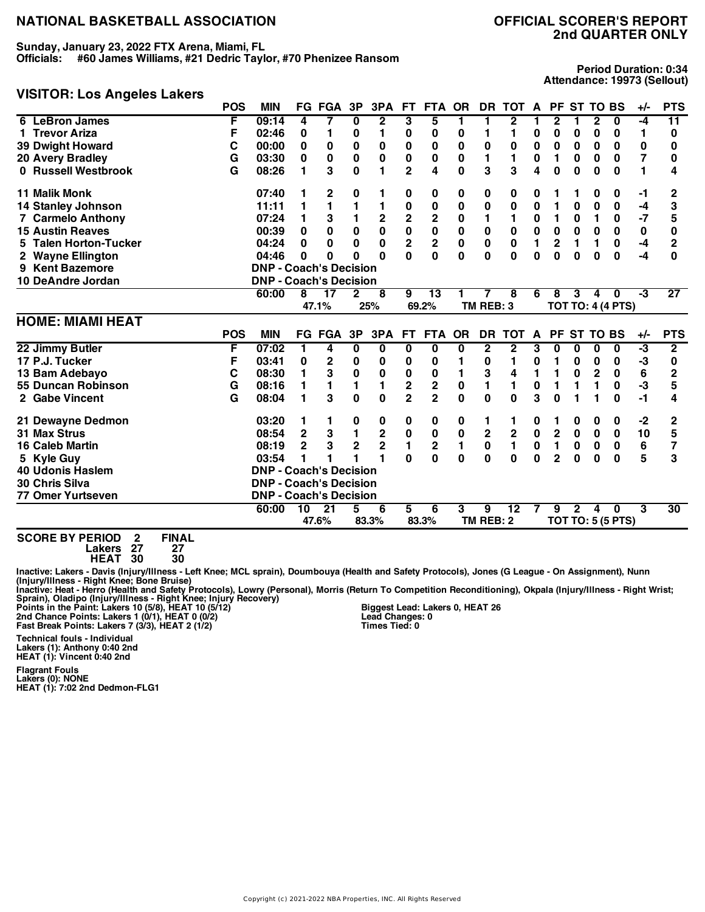**Sunday, January 23, 2022 FTX Arena, Miami, FL**

**Officials: #60 James Williams, #21 Dedric Taylor, #70 Phenizee Ransom**

#### **VISITOR: Los Angeles Lakers**

**Period Duration: 0:34 Attendance: 19973 (Sellout)**

|                           | <b>POS</b> | <b>MIN</b>                    |                | <b>FG FGA</b>   | 3P             | 3PA                     | <b>FT</b>               | <b>FTA</b>              | <b>OR</b>   | DR.            | <b>TOT</b>              | A           |                         | PF ST TO BS     |              |                          | $+/-$ | <b>PTS</b>      |
|---------------------------|------------|-------------------------------|----------------|-----------------|----------------|-------------------------|-------------------------|-------------------------|-------------|----------------|-------------------------|-------------|-------------------------|-----------------|--------------|--------------------------|-------|-----------------|
| 6 LeBron James            | F          | 09:14                         | 4              |                 | 0              | $\overline{2}$          | 3                       | 5                       | 1           | 1              | $\mathbf{2}$            |             | 2                       |                 | $\mathbf{2}$ | $\mathbf{0}$             | -4    | $\overline{11}$ |
| 1 Trevor Ariza            | F          | 02:46                         | 0              | 1               | 0              | 1                       | 0                       | 0                       | 0           | 1              | 1                       | 0           | 0                       | 0               | 0            | 0                        | 1     | 0               |
| <b>39 Dwight Howard</b>   | C          | 00:00                         | 0              | 0               | 0              | 0                       | 0                       | 0                       | 0           | $\bf{0}$       | $\bf{0}$                | 0           | 0                       | $\bf{0}$        | $\bf{0}$     | 0                        | 0     | 0               |
| <b>20 Avery Bradley</b>   | G          | 03:30                         | 0              | $\bf{0}$        | 0              | 0                       | 0                       | 0                       | 0           | 1              | 1                       | 0           | 1                       | 0               | $\bf{0}$     | 0                        | 7     | 0               |
| 0 Russell Westbrook       | G          | 08:26                         | 1              | 3               | $\mathbf{0}$   | 1                       | $\overline{2}$          | 4                       | 0           | 3              | 3                       | 4           | 0                       | 0               | 0            | $\bf{0}$                 | 1     | 4               |
| <b>11 Malik Monk</b>      |            | 07:40                         | 1              | 2               | 0              | 1                       | 0                       | 0                       | 0           | 0              | 0                       | 0           | 1                       |                 | 0            | 0                        | -1    | 2               |
| <b>14 Stanley Johnson</b> |            | 11:11                         | 1              | 1               | 1              | 1                       | 0                       | 0                       | 0           | 0              | 0                       | 0           | 1                       | 0               | 0            | 0                        | -4    | 3               |
| <b>7 Carmelo Anthony</b>  |            | 07:24                         | 1              | 3               | 1              | $\overline{\mathbf{c}}$ | $\mathbf 2$             | $\mathbf 2$             | 0           | 1              |                         | 0           | 1                       | 0               | 1            | 0                        | $-7$  | 5               |
| <b>15 Austin Reaves</b>   |            | 00:39                         | 0              | $\bf{0}$        | 0              | $\mathbf 0$             | $\mathbf 0$             | $\pmb{0}$               | 0           | 0              | 0                       | 0           | $\bf{0}$                | $\bf{0}$        | $\bf{0}$     | 0                        | 0     | 0               |
| 5 Talen Horton-Tucker     |            | 04:24                         | 0              | $\bf{0}$        | $\bf{0}$       | $\mathbf 0$             | $\overline{\mathbf{c}}$ | $\overline{\mathbf{2}}$ | $\mathbf 0$ | $\mathbf 0$    | $\mathbf 0$             | 1           | $\overline{2}$          | 1               | 1            | $\bf{0}$                 | $-4$  | $\overline{2}$  |
| 2 Wayne Ellington         |            | 04:46                         | O              | O               | O              | U                       | Û                       | $\bf{0}$                | 0           | $\Omega$       | $\Omega$                | $\bf{0}$    | 0                       | 0               | $\bf{0}$     | $\bf{0}$                 | $-4$  | 0               |
| 9 Kent Bazemore           |            | <b>DNP - Coach's Decision</b> |                |                 |                |                         |                         |                         |             |                |                         |             |                         |                 |              |                          |       |                 |
| 10 DeAndre Jordan         |            | <b>DNP - Coach's Decision</b> |                |                 |                |                         |                         |                         |             |                |                         |             |                         |                 |              |                          |       |                 |
|                           |            | 60:00                         | 8              | 17              | $\mathbf{2}$   | 8                       | 9                       | $\overline{13}$         |             | 7              | 8                       | 6           | 8                       | 3               | 4            | $\mathbf{0}$             | -3    | $\overline{27}$ |
|                           |            |                               |                | 47.1%           |                | 25%                     |                         | 69.2%                   |             | TM REB: 3      |                         |             |                         |                 |              | <b>TOT TO: 4 (4 PTS)</b> |       |                 |
| <b>HOME: MIAMI HEAT</b>   |            |                               |                |                 |                |                         |                         |                         |             |                |                         |             |                         |                 |              |                          |       |                 |
|                           | <b>POS</b> | <b>MIN</b>                    |                | <b>FG FGA</b>   | 3P             | 3PA                     | FT.                     | <b>FTA</b>              | <b>OR</b>   | <b>DR</b>      | <b>TOT</b>              | A           | <b>PF</b>               | <b>ST TO BS</b> |              |                          | $+/-$ | <b>PTS</b>      |
| 22 Jimmy Butler           | F          | 07:02                         | 1.             | 4               | 0              | 0                       | 0                       | $\overline{\mathbf{0}}$ | 0           | $\overline{2}$ | $\overline{\mathbf{2}}$ | 3           | 0                       | 0               | $\bf{0}$     | $\bf{0}$                 | ٠3    | $\overline{2}$  |
| 17 P.J. Tucker            | F          | 03:41                         | 0              | $\mathbf 2$     | 0              | 0                       | 0                       | 0                       | 1           | 0              | 1                       | 0           | 1                       | 0               | $\bf{0}$     | 0                        | -3    | 0               |
|                           |            |                               |                |                 |                |                         |                         |                         |             |                |                         |             |                         |                 |              |                          |       |                 |
| 13 Bam Adebayo            | C          | 08:30                         | 1              | 3               | $\bf{0}$       | 0                       | $\bf{0}$                | 0                       | 1           | 3              | 4                       | 1           | 1                       | 0               | $\mathbf 2$  | 0                        | 6     | $\overline{2}$  |
| 55 Duncan Robinson        | G          | 08:16                         | 1              | 1               | 1              | 1                       | $\overline{\mathbf{c}}$ | $\overline{\mathbf{c}}$ | 0           | 1              | 1                       | 0           | 1                       |                 | 1            | 0                        | -3    | 5               |
| 2 Gabe Vincent            | G          | 08:04                         | 1              | 3               | $\bf{0}$       | $\bf{0}$                | $\overline{2}$          | $\overline{2}$          | 0           | $\bf{0}$       | $\bf{0}$                | 3           | 0                       |                 |              | $\bf{0}$                 | $-1$  | 4               |
| 21 Dewayne Dedmon         |            | 03:20                         |                | 1               | 0              | 0                       | 0                       | 0                       | 0           | 1              | 1                       | 0           | 1                       | 0               | 0            | 0                        | $-2$  | 2               |
| <b>31 Max Strus</b>       |            | 08:54                         | $\mathbf 2$    | 3               | $\blacksquare$ | $\mathbf 2$             | $\pmb{0}$               | $\pmb{0}$               | $\bf{0}$    | $\mathbf 2$    | $\mathbf 2$             | $\mathbf 0$ | $\overline{\mathbf{2}}$ | $\bf{0}$        | 0            | $\bf{0}$                 | 10    | 5               |
| <b>16 Caleb Martin</b>    |            | 08:19                         | $\overline{2}$ | 3               | $\overline{2}$ | $\overline{\mathbf{2}}$ | 1                       | $\overline{\mathbf{c}}$ |             | $\bf{0}$       | 1                       | 0           | 1                       | 0               | $\bf{0}$     | 0                        | 6     | 7               |
| 5 Kyle Guy                |            | 03:54                         |                |                 |                | 1                       | $\Omega$                | 0                       | 0           | $\bf{0}$       | $\mathbf{0}$            | $\bf{0}$    | $\overline{2}$          | 0               | 0            | $\bf{0}$                 | 5     | 3               |
| <b>40 Udonis Haslem</b>   |            | <b>DNP - Coach's Decision</b> |                |                 |                |                         |                         |                         |             |                |                         |             |                         |                 |              |                          |       |                 |
| 30 Chris Silva            |            | <b>DNP - Coach's Decision</b> |                |                 |                |                         |                         |                         |             |                |                         |             |                         |                 |              |                          |       |                 |
| 77 Omer Yurtseven         |            | <b>DNP - Coach's Decision</b> |                |                 |                |                         |                         |                         |             |                |                         |             |                         |                 |              |                          |       |                 |
|                           |            | 60:00                         | 10             | $\overline{21}$ | 5              | 6                       | 5                       | 6                       | 3           | 9              | $\overline{12}$         |             | 9                       | $\overline{2}$  | 4            | $\bf{0}$                 | 3     | 30              |

**SCORE BY PERIOD 2 FINAL Lakers 27 27**

**HEAT 30 30**

Inactive: Lakers - Davis (Injury/Illness - Left Knee; MCL sprain), Doumbouya (Health and Safety Protocols), Jones (G League - On Assignment), Nunn<br>(Injury/Illness - Right Knee; Bone Bruise)

Inactive: Heat - Herro (Health and Safety Protocols), Lowry (Personal), Morris (Return To Competition Reconditioning), Okpala (Injury/Illness - Right Wrist;<br>Points in the Paint: Lakers 10 (5/8), HEAT 10 (5/12) [1] Biggest

**Technical fouls - Individual Lakers (1): Anthony 0:40 2nd HEAT (1): Vincent 0:40 2nd**

**Flagrant Fouls Lakers (0): NONE HEAT (1): 7:02 2nd Dedmon-FLG1** **Biggest Lead: Lakers 0, HEAT 26 Lead Changes: 0 Times Tied: 0**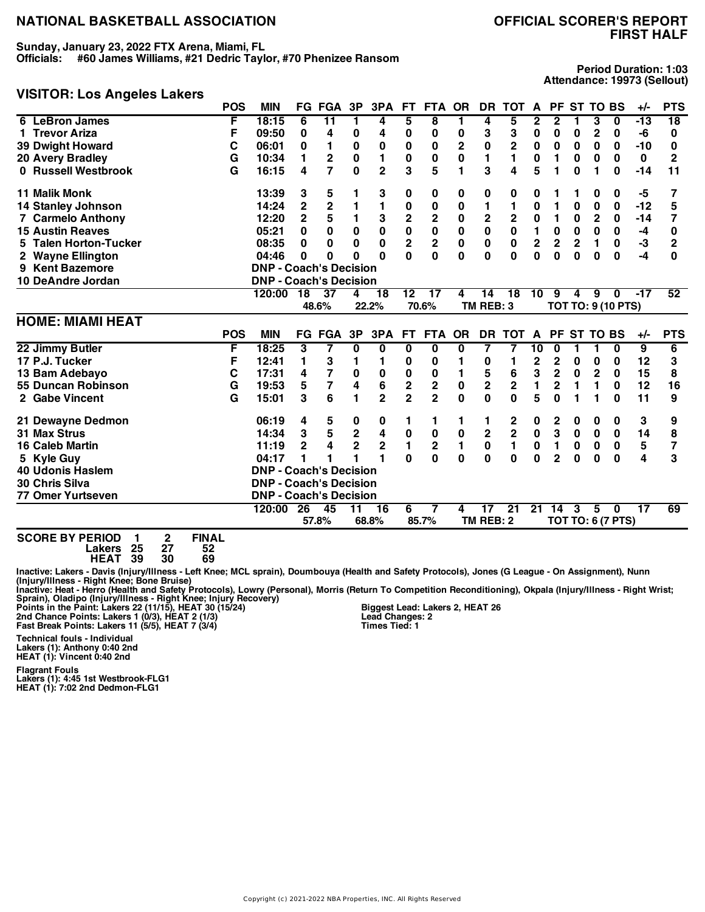**Sunday, January 23, 2022 FTX Arena, Miami, FL**

**Officials: #60 James Williams, #21 Dedric Taylor, #70 Phenizee Ransom**

# **VISITOR: Los Angeles Lakers**

**Period Duration: 1:03 Attendance: 19973 (Sellout)**

|                           | <b>POS</b> | <b>MIN</b>                    |                | <b>FG FGA</b>           | 3P                                     | 3PA             | FT.                     | <b>FTA</b>                             | <b>OR</b>   | <b>DR</b>       | <b>TOT</b>              | A                       |                | PF ST TO BS |              |                                          | $+/-$           | <b>PTS</b>      |
|---------------------------|------------|-------------------------------|----------------|-------------------------|----------------------------------------|-----------------|-------------------------|----------------------------------------|-------------|-----------------|-------------------------|-------------------------|----------------|-------------|--------------|------------------------------------------|-----------------|-----------------|
| <b>LeBron James</b><br>6  | F          | 18:15                         | 6              | $\overline{11}$         | 1                                      | 4               | 5                       | 8                                      | 1           | 4               | 5                       | 2                       | 2              |             | 3            | $\mathbf 0$                              | $-13$           | $\overline{18}$ |
| 1 Trevor Ariza            | F          | 09:50                         | 0              | 4                       | 0                                      | 4               | 0                       | 0                                      | 0           | 3               | 3                       | 0                       | 0              | 0           | 2            | 0                                        | -6              | 0               |
| <b>39 Dwight Howard</b>   | C          | 06:01                         | 0              | 1                       | $\bf{0}$                               | 0               | 0                       | 0                                      | 2           | $\pmb{0}$       | $\mathbf{2}$            | $\pmb{0}$               | 0              | 0           | $\bf{0}$     | 0                                        | $-10$           | 0               |
| 20 Avery Bradley          | G          | 10:34                         | 1              | $\mathbf 2$             | 0                                      | 1               | $\bf{0}$                | 0                                      | 0           | $\mathbf{1}$    | 1                       | 0                       | 1              | 0           | $\bf{0}$     | 0                                        | $\bf{0}$        | $\overline{2}$  |
| 0 Russell Westbrook       | G          | 16:15                         | 4              | 7                       | $\bf{0}$                               | $\overline{2}$  | 3                       | 5                                      | 1           | 3               | 4                       | 5                       | 1              | $\bf{0}$    | 1            | 0                                        | $-14$           | 11              |
| <b>11 Malik Monk</b>      |            | 13:39                         | 3              | 5                       |                                        | 3               | 0                       | 0                                      | 0           | 0               | 0                       | 0                       |                |             | 0            | 0                                        | -5              | 7               |
| <b>14 Stanley Johnson</b> |            | 14:24                         | $\overline{2}$ | $\overline{\mathbf{c}}$ |                                        | 1               | 0                       | $\pmb{0}$                              | 0           | 1               | 1                       | 0                       | 1              | 0           | $\bf{0}$     | 0                                        | $-12$           | 5               |
| 7 Carmelo Anthony         |            | 12:20                         | $\overline{2}$ | 5                       | 1                                      | 3               | $\mathbf 2$             | $\mathbf 2$                            | 0           | $\mathbf 2$     | $\mathbf 2$             | 0                       | 1              | 0           | $\mathbf{2}$ | $\mathbf 0$                              | $-14$           | 7               |
| <b>15 Austin Reaves</b>   |            | 05:21                         | 0              | $\mathbf 0$             | $\mathbf 0$                            | $\mathbf 0$     | $\mathbf 0$             | $\pmb{0}$                              | $\pmb{0}$   | $\bf{0}$        | $\mathbf 0$             | $\blacksquare$          | $\mathbf 0$    | $\mathbf 0$ | $\mathbf 0$  | 0                                        | $-4$            | 0               |
| 5 Talen Horton-Tucker     |            | 08:35                         | 0              | $\bf{0}$                | $\bf{0}$                               | $\bf{0}$        | $\overline{\mathbf{2}}$ | $\overline{\mathbf{c}}$                | $\mathbf 0$ | $\bf{0}$        | $\bf{0}$                | $\overline{\mathbf{2}}$ | $\overline{2}$ | $\mathbf 2$ | 1            | 0                                        | -3              | $\overline{2}$  |
| 2 Wayne Ellington         |            | 04:46                         | 0              | 0                       | $\Omega$                               | O               | Û                       | $\bf{0}$                               | 0           | $\bf{0}$        | <sup>0</sup>            | $\bf{0}$                | 0              | $\bf{0}$    | 0            | $\mathbf{0}$                             | $-4$            | $\bf{0}$        |
| 9 Kent Bazemore           |            | <b>DNP - Coach's Decision</b> |                |                         |                                        |                 |                         |                                        |             |                 |                         |                         |                |             |              |                                          |                 |                 |
| 10 DeAndre Jordan         |            | <b>DNP - Coach's Decision</b> |                |                         |                                        |                 |                         |                                        |             |                 |                         |                         |                |             |              |                                          |                 |                 |
|                           |            | 120:00                        | 18             | 37                      | 4                                      | 18              | $\overline{12}$         | $\overline{17}$                        | 4           | 14              | 18                      | 10                      | 9              | 4           | 9            | $\mathbf{0}$                             | $-17$           | 52              |
|                           |            |                               |                | 48.6%                   |                                        | 22.2%           |                         | 70.6%                                  |             | TM REB: 3       |                         |                         |                |             |              | <b>TOT TO: 9 (10 PTS)</b>                |                 |                 |
|                           |            |                               |                |                         |                                        |                 |                         |                                        |             |                 |                         |                         |                |             |              |                                          |                 |                 |
|                           |            |                               |                |                         |                                        |                 |                         |                                        |             |                 |                         |                         |                |             |              |                                          |                 |                 |
| <b>HOME: MIAMI HEAT</b>   | <b>POS</b> | <b>MIN</b>                    |                | <b>FG FGA</b>           | 3P                                     | 3PA             | FT.                     | <b>FTA</b>                             | <b>OR</b>   | <b>DR</b>       | <b>TOT</b>              | A                       |                | PF ST TO BS |              |                                          | $+/-$           | <b>PTS</b>      |
| 22 Jimmy Butler           | F          | 18:25                         | 3              | 7                       | 0                                      | 0               | 0                       | 0                                      | 0           | 7               | 7                       | 10                      | 0              | 1           | 1            | $\bf{0}$                                 | 9               | $\overline{6}$  |
| 17 P.J. Tucker            | F          | 12:41                         | 1              | 3                       | 1                                      | 1               | 0                       | 0                                      |             | 0               | 1                       | $\overline{2}$          | 2              | 0           | $\bf{0}$     | $\mathbf 0$                              | 12              | 3               |
| 13 Bam Adebayo            | C          | 17:31                         | 4              | 7                       | 0                                      | 0               | 0                       | 0                                      | 1           | 5               | 6                       | 3                       | $\mathbf 2$    | 0           | 2            | 0                                        | 15              | 8               |
| 55 Duncan Robinson        | G          | 19:53                         | 5              | $\overline{\mathbf{7}}$ | 4                                      | 6               | $\overline{\mathbf{c}}$ | $\mathbf 2$                            | $\pmb{0}$   | $\mathbf 2$     | $\mathbf 2$             | 1                       | 2              | 1           | 1            | 0                                        | 12              | 16              |
| 2 Gabe Vincent            | G          | 15:01                         | 3              | 6                       | 1                                      | $\overline{2}$  | $\overline{2}$          | $\overline{2}$                         | 0           | $\bf{0}$        | $\bf{0}$                | 5                       | $\bf{0}$       |             |              | $\bf{0}$                                 | 11              | 9               |
| 21 Dewayne Dedmon         |            | 06:19                         | 4              | 5                       | 0                                      | 0               | 1                       | 1                                      | 1           | 1               | 2                       | 0                       | 2              | 0           | 0            | 0                                        | 3               | 9               |
| 31 Max Strus              |            | 14:34                         | 3              | $\overline{\mathbf{5}}$ |                                        | 4               | $\pmb{0}$               | 0                                      | 0           | $\mathbf 2$     | $\overline{\mathbf{2}}$ | $\pmb{0}$               | 3              | $\pmb{0}$   | $\pmb{0}$    | $\bf{0}$                                 | 14              | 8               |
| <b>16 Caleb Martin</b>    |            | 11:19                         | $\overline{2}$ | 4                       | $\mathbf 2$<br>$\overline{\mathbf{2}}$ | $\mathbf 2$     | $\mathbf{1}$            |                                        | 1           | $\mathbf 0$     | $\mathbf{1}$            | 0                       | 1              | 0           | 0            | $\mathbf 0$                              | 5               | 7               |
| 5 Kyle Guy                |            | 04:17                         |                |                         |                                        | 1               | $\Omega$                | $\overline{\mathbf{c}}$<br>$\mathbf 0$ | 0           | $\bf{0}$        | $\bf{0}$                | $\bf{0}$                | $\overline{2}$ | $\bf{0}$    | 0            | $\bf{0}$                                 | 4               | 3               |
| <b>40 Udonis Haslem</b>   |            | <b>DNP - Coach's Decision</b> |                |                         |                                        |                 |                         |                                        |             |                 |                         |                         |                |             |              |                                          |                 |                 |
| 30 Chris Silva            |            | <b>DNP - Coach's Decision</b> |                |                         |                                        |                 |                         |                                        |             |                 |                         |                         |                |             |              |                                          |                 |                 |
| <b>77 Omer Yurtseven</b>  |            | <b>DNP - Coach's Decision</b> |                |                         |                                        |                 |                         |                                        |             |                 |                         |                         |                |             |              |                                          |                 |                 |
|                           |            | 120:00                        | 26             | 45                      | 11                                     | $\overline{16}$ | 6                       | 7                                      | 4           | 17<br>TM REB: 2 | $\overline{21}$         | 21                      | 14             | 3           | 5            | $\mathbf{0}$<br><b>TOT TO: 6 (7 PTS)</b> | $\overline{17}$ | 69              |

**SCORE BY PERIOD 1 2 FINAL Lakers 25 27 52 HEAT 39 30 69**

Inactive: Lakers - Davis (Injury/Illness - Left Knee; MCL sprain), Doumbouya (Health and Safety Protocols), Jones (G League - On Assignment), Nunn<br>(Injury/Illness - Right Knee; Bone Bruise)

Inactive: Heat - Herro (Health and Safety Protocols), Lowry (Personal), Morris (Return To Competition Reconditioning), Okpala (Injury/Illness - Right Wrist;<br>Points in the Paint: Lakers 22 (11/15), HEAT 26 (11/15), HEAT 26

**Biggest Lead: Lakers 2, HEAT 26 Lead Changes: 2 Times Tied: 1**

**Technical fouls - Individual Lakers (1): Anthony 0:40 2nd HEAT (1): Vincent 0:40 2nd**

**Flagrant Fouls Lakers (1): 4:45 1st Westbrook-FLG1 HEAT (1): 7:02 2nd Dedmon-FLG1**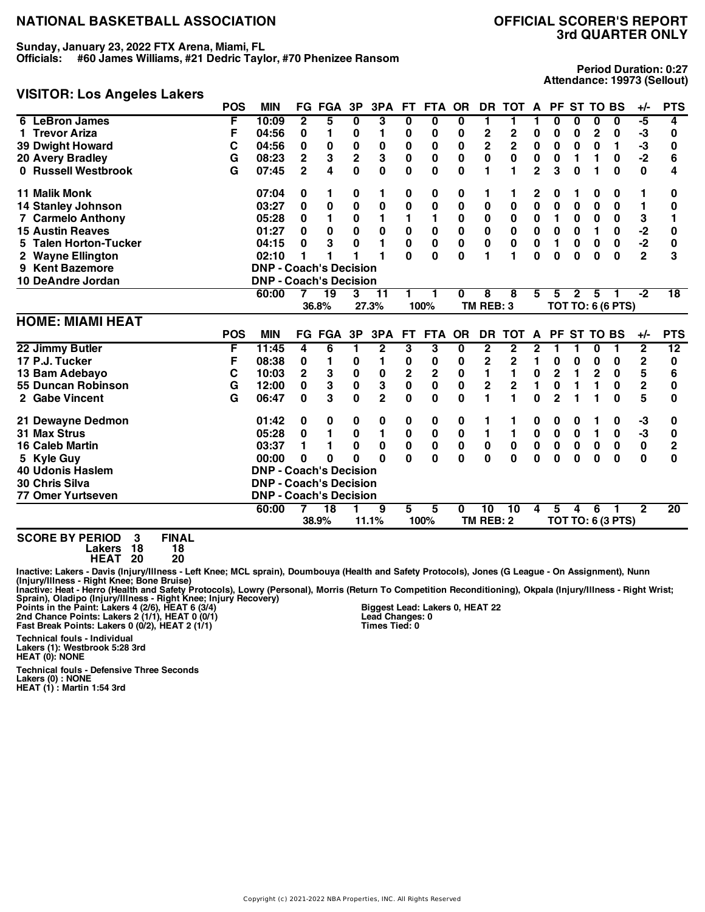**Sunday, January 23, 2022 FTX Arena, Miami, FL**

**Officials: #60 James Williams, #21 Dedric Taylor, #70 Phenizee Ransom**

# **VISITOR: Los Angeles Lakers**

**Period Duration: 0:27 Attendance: 19973 (Sellout)**

|                                  | <b>POS</b> | <b>MIN</b>                    |                | <b>FG FGA</b>   | 3P          | 3PA            | FT.          | FTA OR       |             | DR.                     | TOT A          |                | PF ST TO BS    |              |                |                          | $+/-$                   | <b>PTS</b>      |
|----------------------------------|------------|-------------------------------|----------------|-----------------|-------------|----------------|--------------|--------------|-------------|-------------------------|----------------|----------------|----------------|--------------|----------------|--------------------------|-------------------------|-----------------|
| 6 LeBron James                   | F          | 10:09                         | $\mathbf{2}$   | 5               | 0           | 3              | 0            | 0            | 0           | 1                       | 1              |                | 0              | 0            | 0              | 0                        | -5                      | 4               |
| <b>Trevor Ariza</b>              | F          | 04:56                         | 0              | 1               | 0           | 1              | 0            | 0            | 0           | $\mathbf 2$             | $\mathbf 2$    | 0              | 0              | 0            | $\mathbf{2}$   | 0                        | -3                      | 0               |
| <b>39 Dwight Howard</b>          | С          | 04:56                         | 0              | 0               | $\pmb{0}$   | 0              | 0            | 0            | 0           | $\overline{\mathbf{c}}$ | $\overline{2}$ | $\pmb{0}$      | $\bf{0}$       | 0            | 0              | 1                        | -3                      | 0               |
| <b>20 Avery Bradley</b>          | G          | 08:23                         | $\mathbf 2$    | 3               | $\mathbf 2$ | 3              | 0            | 0            | 0           | 0                       | 0              | $\pmb{0}$      | 0              | 1            | 1              | 0                        | $-2$                    | 6               |
| 0 Russell Westbrook              | G          | 07:45                         | $\overline{2}$ | 4               | $\bf{0}$    | $\mathbf 0$    | 0            | 0            | 0           | 1                       | 1              | $\overline{2}$ | 3              | $\bf{0}$     | 1              | $\bf{0}$                 | $\mathbf 0$             | 4               |
| <b>11 Malik Monk</b>             |            | 07:04                         | 0              | 1               | 0           | 1              | 0            | 0            | 0           | 1                       | 1              | 2              | 0              | 1            | 0              | 0                        | 1                       | 0               |
| <b>14 Stanley Johnson</b>        |            | 03:27                         | 0              | 0               | $\pmb{0}$   | $\bf{0}$       | 0            | 0            | $\bf{0}$    | 0                       | 0              | 0              | 0              | 0            | 0              | 0                        | 1                       | 0               |
| <b>7 Carmelo Anthony</b>         |            | 05:28                         | 0              | 1               | 0           | 1              | 1            | 1            | 0           | 0                       | 0              | $\pmb{0}$      | 1              | 0            | $\bf{0}$       | 0                        | 3                       | 1               |
| <b>15 Austin Reaves</b>          |            | 01:27                         | 0              | $\bf{0}$        | 0           | 0              | 0            | $\pmb{0}$    | 0           | 0                       | $\bf{0}$       | $\pmb{0}$      | $\pmb{0}$      | $\bf{0}$     | 1              | 0                        |                         | 0               |
| <b>Talen Horton-Tucker</b><br>5. |            | 04:15                         | 0              | 3               | $\bf{0}$    | 1              | $\mathbf 0$  | $\mathbf 0$  | 0           | $\bf{0}$                | 0              | $\mathbf{0}$   | 1              | 0            | 0              | $\mathbf 0$              | -2<br>-2                | 0               |
| <b>Wayne Ellington</b><br>2      |            | 02:10                         |                |                 |             |                | 0            | 0            | 0           |                         |                | $\bf{0}$       | 0              | 0            | 0              | $\bf{0}$                 | $\overline{2}$          | 3               |
| 9 Kent Bazemore                  |            | <b>DNP - Coach's Decision</b> |                |                 |             |                |              |              |             |                         |                |                |                |              |                |                          |                         |                 |
| 10 DeAndre Jordan                |            | <b>DNP - Coach's Decision</b> |                |                 |             |                |              |              |             |                         |                |                |                |              |                |                          |                         |                 |
|                                  |            | 60:00                         |                | $\overline{19}$ | 3           | 11             |              |              | 0           | 8                       | 8              | 5              | 5              | $\mathbf{2}$ | 5              |                          | $-2$                    | $\overline{18}$ |
|                                  |            |                               |                | 36.8%           |             | 27.3%          |              | 100%         |             | TM REB: 3               |                |                |                |              |                | <b>TOT TO: 6 (6 PTS)</b> |                         |                 |
|                                  |            |                               |                |                 |             |                |              |              |             |                         |                |                |                |              |                |                          |                         |                 |
| <b>HOME: MIAMI HEAT</b>          |            |                               |                |                 |             |                |              |              |             |                         |                |                |                |              |                |                          |                         |                 |
|                                  | <b>POS</b> | <b>MIN</b>                    |                | <b>FG FGA</b>   | 3P          | 3PA            | FT.          | <b>FTA</b>   | <b>OR</b>   | <b>DR</b>               | тот            | A              |                | PF ST TO BS  |                |                          | $+/-$                   | <b>PTS</b>      |
| 22 Jimmy Butler                  | F          | 11:45                         | 4              | 6               | 1           | $\mathbf{2}$   | 3            | 3            | 0           | $\mathbf{2}$            | $\mathbf{2}$   | $\mathbf{2}$   | 1              | 1            | 0              | 1                        | $\overline{2}$          | 12              |
| 17 P.J. Tucker                   | F          | 08:38                         | 0              | 1               | 0           | 1              | 0            | 0            | 0           | 2                       | $\mathbf 2$    | 1              | 0              | 0            | 0              | 0                        | $\mathbf 2$             | 0               |
| 13 Bam Adebayo                   | C          | 10:03                         | $\mathbf 2$    | 3               | $\pmb{0}$   | 0              | 2            | $\mathbf 2$  | 0           | 1                       | 1              | $\pmb{0}$      | 2              | 1            | $\overline{2}$ | 0                        | 5                       | 6               |
| 55 Duncan Robinson               | G          | 12:00                         | 0              | 3               | $\pmb{0}$   | 3              | 0            | 0            | 0           | $\overline{2}$          | $\mathbf 2$    | 1              | 0              | 1            | 1              | 0                        | $\overline{\mathbf{2}}$ | 0               |
| 2 Gabe Vincent                   | G          | 06:47                         | $\bf{0}$       | 3               | 0           | $\overline{2}$ | $\mathbf{0}$ | $\mathbf{0}$ | 0           | 1                       | 1              | $\bf{0}$       | $\overline{2}$ |              |                | $\bf{0}$                 | 5                       | 0               |
| 21 Dewayne Dedmon                |            | 01:42                         | 0              | 0               | 0           | 0              | 0            | 0            | 0           | 1                       | 1              | 0              | 0              | 0            |                | 0                        | -3                      | 0               |
| 31 Max Strus                     |            | 05:28                         | 0              | $\blacksquare$  | $\bf{0}$    | 1              | $\pmb{0}$    | $\bf{0}$     | $\bf{0}$    | 1                       | 1              | $\mathbf 0$    | $\mathbf 0$    | $\bf{0}$     | 1              | $\mathbf 0$              | -3                      | 0               |
| <b>16 Caleb Martin</b>           |            | 03:37                         | 1              | 1               | 0           | 0              | 0            | $\pmb{0}$    | $\mathbf 0$ | 0                       | 0              | $\pmb{0}$      | $\pmb{0}$      | 0            | 0              | $\mathbf 0$              | $\pmb{0}$               | $\mathbf{2}$    |
| 5 Kyle Guy                       |            | 00:00                         | 0              | 0               | $\bf{0}$    | $\bf{0}$       | $\mathbf{0}$ | $\mathbf 0$  | $\bf{0}$    | $\bf{0}$                | $\mathbf{0}$   | $\bf{0}$       | 0              | $\bf{0}$     | $\bf{0}$       | $\mathbf{0}$             | $\mathbf{0}$            | $\bf{0}$        |
| <b>40 Udonis Haslem</b>          |            | <b>DNP - Coach's Decision</b> |                |                 |             |                |              |              |             |                         |                |                |                |              |                |                          |                         |                 |
| 30 Chris Silva                   |            | <b>DNP - Coach's Decision</b> |                |                 |             |                |              |              |             |                         |                |                |                |              |                |                          |                         |                 |
| <b>77 Omer Yurtseven</b>         |            | <b>DNP - Coach's Decision</b> |                |                 |             |                |              |              |             |                         |                |                |                |              |                |                          |                         |                 |
|                                  |            | 60:00                         |                | $\overline{18}$ |             | 9              | 5            | 5            | 0           | 10<br>TM REB: 2         | 10             | 4              | 5              | 4            | 6              |                          | $\overline{2}$          | 20              |

**SCORE BY PERIOD 3 FINAL Lakers 18 18**

**HEAT 20 20**

Inactive: Lakers - Davis (Injury/Illness - Left Knee; MCL sprain), Doumbouya (Health and Safety Protocols), Jones (G League - On Assignment), Nunn<br>(Injury/Illness - Right Knee; Bone Bruise)

Inactive: Heat - Herro (Health and Safety Protocols), Lowry (Personal), Morris (Return To Competition Reconditioning), Okpala (Injury/Illness - Right Wrist;<br>Points in the Paint: Lakers 4 (2/6), HEAT 12 (2/6), HEAT 22 (2/6)

**Biggest Lead: Lakers 0, HEAT 22 Lead Changes: 0 Times Tied: 0**

**Technical fouls - Individual Lakers (1): Westbrook 5:28 3rd HEAT (0): NONE**

**Technical fouls - Defensive Three Seconds Lakers (0) : NONE HEAT (1) : Martin 1:54 3rd**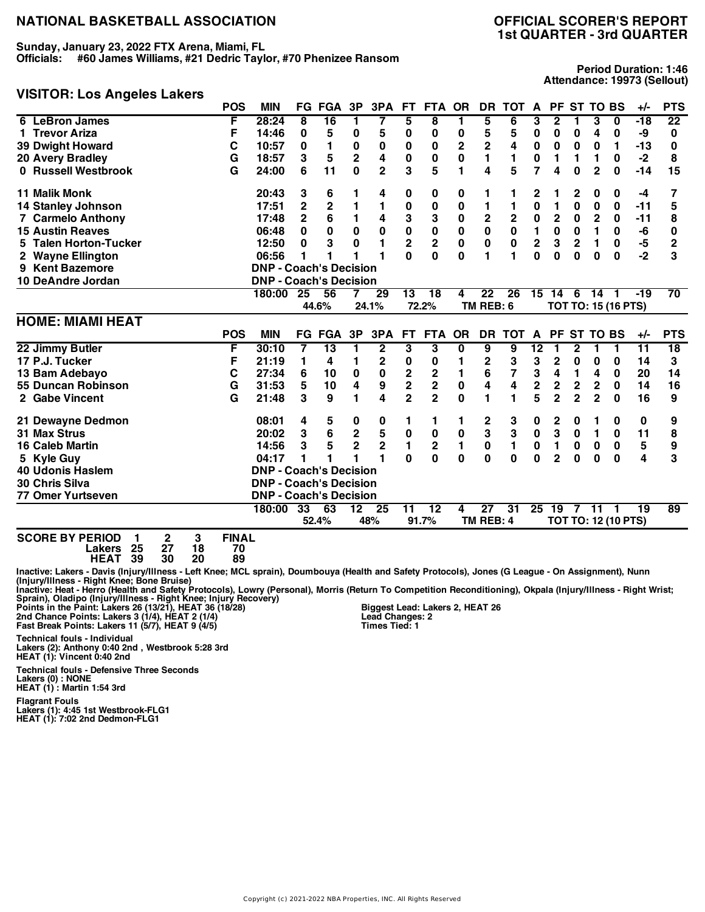**Sunday, January 23, 2022 FTX Arena, Miami, FL**

**Officials: #60 James Williams, #21 Dedric Taylor, #70 Phenizee Ransom**

# **VISITOR: Los Angeles Lakers**

**Period Duration: 1:46 Attendance: 19973 (Sellout)**

|                           | <b>POS</b> | <b>MIN</b>                    |                         | <b>FG FGA</b>           | 3P                      | 3PA                     | <b>FT</b>               | <b>FTA</b>              | <b>OR</b>   | <b>DR</b>       | <b>TOT</b>      | A               |                         |                | PF ST TO BS     |                            | $+/-$           | <b>PTS</b>      |
|---------------------------|------------|-------------------------------|-------------------------|-------------------------|-------------------------|-------------------------|-------------------------|-------------------------|-------------|-----------------|-----------------|-----------------|-------------------------|----------------|-----------------|----------------------------|-----------------|-----------------|
| 6 LeBron James            | F          | 28:24                         | 8                       | 16                      | 1                       | 7                       | 5                       | $\overline{\mathbf{8}}$ | 1           | 5               | 6               | 3               | 2                       |                | 3               | $\mathbf{0}$               | $-18$           | $\overline{22}$ |
| 1 Trevor Ariza            | F          | 14:46                         | 0                       | 5                       | 0                       | 5                       | 0                       | 0                       | 0           | 5               | 5               | 0               | 0                       | 0              | 4               | 0                          | -9              | 0               |
| <b>39 Dwight Howard</b>   | C          | 10:57                         | 0                       | 1                       | 0                       | $\bf{0}$                | 0                       | 0                       | 2           | 2               | 4               | $\pmb{0}$       | 0                       | 0              | 0               | 1                          | $-13$           | 0               |
| 20 Avery Bradley          | G          | 18:57                         | 3                       | 5                       | $\overline{\mathbf{2}}$ | 4                       | 0                       | 0                       | 0           | 1               | 1               | 0               | 1                       | 1              | 1               | 0                          | $-2$            | 8               |
| 0 Russell Westbrook       | G          | 24:00                         | 6                       | 11                      | $\mathbf 0$             | $\overline{2}$          | 3                       | 5                       | 1           | 4               | 5               | $\overline{7}$  | 4                       | 0              | $\overline{2}$  | 0                          | $-14$           | 15              |
| <b>11 Malik Monk</b>      |            | 20:43                         | 3                       | 6                       | 1                       | 4                       | 0                       | 0                       | 0           | 1               |                 | 2               | 1                       | 2              | 0               | 0                          | -4              | 7               |
| <b>14 Stanley Johnson</b> |            | 17:51                         | $\overline{\mathbf{c}}$ | $\overline{\mathbf{c}}$ | 1                       | 1                       | 0                       | $\pmb{0}$               | 0           | 1               | 1               | 0               | 1                       | $\bf{0}$       | $\bf{0}$        | 0                          | $-11$           | 5               |
| <b>7 Carmelo Anthony</b>  |            | 17:48                         | $\overline{2}$          | 6                       | 1                       | 4                       | 3                       | 3                       | 0           | $\mathbf 2$     | $\mathbf 2$     | $\pmb{0}$       | $\overline{\mathbf{c}}$ | 0              | $\mathbf 2$     | 0                          | $-11$           | 8               |
| <b>15 Austin Reaves</b>   |            | 06:48                         | 0                       | $\bf{0}$                | 0                       | $\pmb{0}$               | 0                       | $\pmb{0}$               | 0           | $\mathbf 0$     | $\pmb{0}$       | $\blacksquare$  | $\pmb{0}$               | 0              | 1               | $\mathbf 0$                | -6              | 0               |
| 5 Talen Horton-Tucker     |            | 12:50                         | 0                       | 3                       | $\mathbf 0$             | $\blacksquare$          | $\overline{\mathbf{2}}$ | $\overline{\mathbf{c}}$ | $\mathbf 0$ | $\mathbf 0$     | $\bf{0}$        | $\mathbf 2$     | 3                       | $\overline{2}$ | $\mathbf{1}$    | $\mathbf 0$                | -5              | $\overline{c}$  |
| 2 Wayne Ellington         |            | 06:56                         | 1                       | 1                       |                         | 1                       | Û                       | $\Omega$                | U           | 1               | 1               | <sup>0</sup>    | 0                       | 0              | 0               | $\bf{0}$                   | $-2$            | 3               |
| 9 Kent Bazemore           |            | <b>DNP - Coach's Decision</b> |                         |                         |                         |                         |                         |                         |             |                 |                 |                 |                         |                |                 |                            |                 |                 |
| 10 DeAndre Jordan         |            | <b>DNP - Coach's Decision</b> |                         |                         |                         |                         |                         |                         |             |                 |                 |                 |                         |                |                 |                            |                 |                 |
|                           |            | 180:00                        | 25                      | 56                      | 7                       | 29                      | 13                      | $\overline{18}$         | 4           | $\overline{22}$ | $\overline{26}$ | 15              | 14                      | 6              | 14              | $\overline{1}$             | $-19$           | $\overline{70}$ |
|                           |            |                               |                         | 44.6%                   |                         | 24.1%                   |                         | 72.2%                   |             | TM REB: 6       |                 |                 |                         |                |                 | <b>TOT TO: 15 (16 PTS)</b> |                 |                 |
| <b>HOME: MIAMI HEAT</b>   |            |                               |                         |                         |                         |                         |                         |                         |             |                 |                 |                 |                         |                |                 |                            |                 |                 |
|                           | <b>POS</b> | <b>MIN</b>                    |                         | <b>FG FGA</b>           | 3P                      | 3PA                     | <b>FT</b>               | <b>FTA</b>              | <b>OR</b>   | <b>DR</b>       | <b>TOT</b>      | A               | <b>PF</b>               |                | <b>ST TO BS</b> |                            | $+/-$           | <b>PTS</b>      |
|                           |            |                               |                         |                         |                         |                         |                         |                         |             |                 |                 |                 |                         |                |                 |                            |                 |                 |
| 22 Jimmy Butler           | F          | 30:10                         | 7                       | $\overline{13}$         | 1                       | $\overline{\mathbf{2}}$ | 3                       | 3                       | 0           | 9               | 9               | $\overline{12}$ | 1                       | $\mathbf 2$    | 1               | 1                          | $\overline{11}$ | $\overline{18}$ |
| 17 P.J. Tucker            | F          | 21:19                         | 1                       | 4                       | 1                       | $\mathbf 2$             | 0                       | 0                       | 1           | 2               | 3               | 3               | 2                       | 0              | $\bf{0}$        | $\bf{0}$                   | 14              | 3               |
| 13 Bam Adebayo            | C          | 27:34                         | 6                       | 10                      | 0                       | $\bf{0}$                |                         | 2                       | 1           | 6               | 7               | 3               | 4                       | 1              | 4               | 0                          | 20              | 14              |
| 55 Duncan Robinson        | G          | 31:53                         | 5                       | 10                      | 4                       | 9                       | $\frac{2}{2}$           | $\overline{\mathbf{2}}$ | 0           | 4               | 4               | $\mathbf 2$     | $\mathbf{2}$            | $\mathbf 2$    | $\mathbf 2$     | $\mathbf 0$                | 14              | 16              |
| 2 Gabe Vincent            | G          | 21:48                         | 3                       | 9                       | 1                       | 4                       | $\overline{2}$          | $\overline{2}$          | 0           | 1               | 1               | 5               | $\overline{2}$          | $\overline{2}$ | $\overline{2}$  | 0                          | 16              | 9               |
| 21 Dewayne Dedmon         |            | 08:01                         | 4                       | 5                       | 0                       | 0                       | 1                       | 1                       | 1           | $\mathbf 2$     | 3               | 0               | 2                       | 0              |                 | 0                          | 0               | 9               |
| <b>31 Max Strus</b>       |            | 20:02                         | 3                       | $\bf 6$                 | $\mathbf 2$             | 5                       | $\pmb{0}$               | 0                       | 0           | 3               | 3               | $\pmb{0}$       | 3                       | 0              | 1               | $\mathbf 0$                | 11              | 8               |
| <b>16 Caleb Martin</b>    |            | 14:56                         | 3                       | 5                       | $\overline{2}$          | $\mathbf 2$             | $\mathbf{1}$            | $\overline{\mathbf{c}}$ | 1           | $\pmb{0}$       | $\mathbf{1}$    | 0               | 1                       | 0              | $\bf{0}$        | $\mathbf 0$                | 5               | 9               |
| 5 Kyle Guy                |            | 04:17                         |                         |                         |                         | 1                       | $\Omega$                | $\mathbf 0$             | 0           | $\mathbf{0}$    | $\mathbf{0}$    | $\bf{0}$        | $\overline{2}$          | 0              | 0               | $\bf{0}$                   | 4               | 3               |
| <b>40 Udonis Haslem</b>   |            | <b>DNP - Coach's Decision</b> |                         |                         |                         |                         |                         |                         |             |                 |                 |                 |                         |                |                 |                            |                 |                 |
| 30 Chris Silva            |            | <b>DNP - Coach's Decision</b> |                         |                         |                         |                         |                         |                         |             |                 |                 |                 |                         |                |                 |                            |                 |                 |
| <b>77 Omer Yurtseven</b>  |            | <b>DNP - Coach's Decision</b> |                         |                         |                         |                         |                         |                         |             |                 |                 |                 |                         |                |                 |                            |                 |                 |
|                           |            | 180:00                        | 33                      | 63                      | $\overline{12}$         | $\overline{25}$         | $\overline{11}$         | $\overline{12}$         | 4           | $\overline{27}$ | $\overline{31}$ |                 | $25 \t19$               | 7              | $-11$           | -1                         | $\overline{19}$ | $\overline{89}$ |

**SCORE BY PERIOD 1 2 3 FINAL Lakers 25 27 18 70 HEAT 39 30 20 89**

Inactive: Lakers - Davis (Injury/Illness - Left Knee; MCL sprain), Doumbouya (Health and Safety Protocols), Jones (G League - On Assignment), Nunn<br>(Injury/Illness - Right Knee; Bone Bruise)

Inactive: Heat - Herro (Health and Safety Protocols), Lowry (Personal), Morris (Return To Competition Reconditioning), Okpala (Injury/Illness - Right Wrist;<br>Points in the Paint: Lakers 26 (13/21), HEAT 26 (18/28) Points in

**Technical fouls - Individual Lakers (2): Anthony 0:40 2nd , Westbrook 5:28 3rd HEAT (1): Vincent 0:40 2nd** **Biggest Lead: Lakers 2, HEAT 26 Lead Changes: 2 Times Tied: 1**

**Technical fouls - Defensive Three Seconds**

**Lakers (0) : NONE HEAT (1) : Martin 1:54 3rd**

**Flagrant Fouls**

**Lakers (1): 4:45 1st Westbrook-FLG1 HEAT (1): 7:02 2nd Dedmon-FLG1**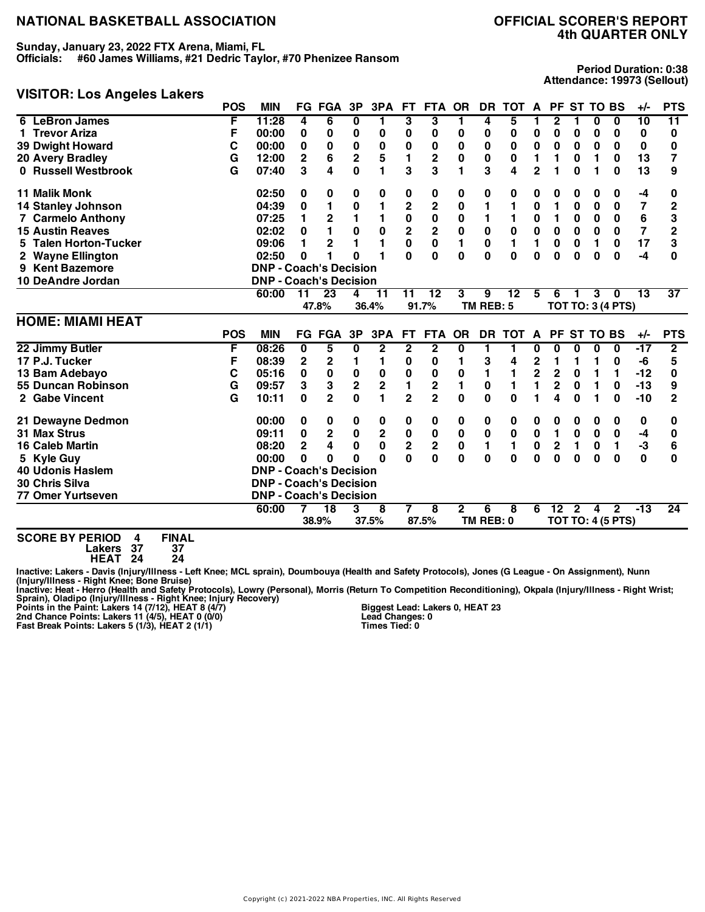**Sunday, January 23, 2022 FTX Arena, Miami, FL**

**Officials: #60 James Williams, #21 Dedric Taylor, #70 Phenizee Ransom**

#### **VISITOR: Los Angeles Lakers**

**Period Duration: 0:38 Attendance: 19973 (Sellout)**

|                                  | <b>POS</b> | <b>MIN</b>                    |             | <b>FG FGA</b>           | 3P                      | 3PA            | FT.                     | FTA OR                  |              | DR.            | TOT A        |                         | PF ST TO BS    |                 |             |                          | $+/-$           | <b>PTS</b>      |
|----------------------------------|------------|-------------------------------|-------------|-------------------------|-------------------------|----------------|-------------------------|-------------------------|--------------|----------------|--------------|-------------------------|----------------|-----------------|-------------|--------------------------|-----------------|-----------------|
| 6 LeBron James                   | F          | 11:28                         | 4           | 6                       | 0                       | 1              | 3                       | 3                       | 1            | 4              | 5            |                         | 2              |                 | 0           | 0                        | 10              | $\overline{11}$ |
| 1 Trevor Ariza                   | F          | 00:00                         | 0           | 0                       | 0                       | 0              | 0                       | 0                       | 0            | 0              | 0            | 0                       | 0              | 0               | 0           | 0                        | 0               | 0               |
| <b>39 Dwight Howard</b>          | С          | 00:00                         | 0           | $\mathbf 0$             | $\pmb{0}$               | 0              | 0                       | 0                       | 0            | 0              | 0            | $\mathbf 0$             | $\bf{0}$       | 0               | 0           | 0                        | 0               | 0               |
| <b>20 Avery Bradley</b>          | G          | 12:00                         | $\mathbf 2$ | 6                       | $\mathbf 2$             | 5              | 1                       | $\mathbf 2$             | 0            | 0              | 0            | 1                       | 1              | 0               | 1           | 0                        | 13              | 7               |
| 0 Russell Westbrook              | G          | 07:40                         | 3           | 4                       | $\bf{0}$                | 1              | 3                       | 3                       | 1            | 3              | 4            | $\overline{2}$          | 1              | $\bf{0}$        | 1           | $\bf{0}$                 | 13              | 9               |
| <b>11 Malik Monk</b>             |            | 02:50                         | 0           | 0                       | 0                       | 0              | 0                       | 0                       | 0            | 0              | 0            | 0                       | 0              | 0               | 0           | 0                        | -4              | 0               |
| <b>14 Stanley Johnson</b>        |            | 04:39                         | 0           |                         | $\pmb{0}$               | 1              | $\overline{\mathbf{c}}$ | $\overline{\mathbf{c}}$ | 0            | 1              | 1            | 0                       | 1              | 0               | 0           | 0                        | 7               | $\overline{2}$  |
| <b>7 Carmelo Anthony</b>         |            | 07:25                         | 1           | $\overline{\mathbf{c}}$ | 1                       | $\blacksquare$ | $\mathbf 0$             | $\mathbf 0$             | 0            | 1              |              | $\mathbf 0$             | 1              | 0               | $\bf{0}$    | 0                        | 6               | 3               |
| <b>15 Austin Reaves</b>          |            | 02:02                         | 0           | 1                       | 0                       | 0              | $\overline{\mathbf{2}}$ | $\mathbf 2$             | 0            | 0              | $\bf{0}$     | $\mathbf 0$             | $\pmb{0}$      | $\bf{0}$        | $\bf{0}$    | $\bf{0}$                 | $\overline{7}$  | $\mathbf{2}$    |
| <b>Talen Horton-Tucker</b><br>5. |            | 09:06                         | 1           | $\overline{2}$          | 1                       | 1              | $\mathbf 0$             | $\mathbf 0$             | 1            | $\bf{0}$       | 1            | 1                       | 0              | $\bf{0}$        | 1           | 0                        | 17              | 3               |
| <b>Wayne Ellington</b><br>2      |            | 02:50                         | 0           |                         | 0                       |                | 0                       | $\mathbf{0}$            | 0            | $\bf{0}$       | $\mathbf{0}$ | $\bf{0}$                | 0              | $\bf{0}$        | $\bf{0}$    | $\bf{0}$                 | $-4$            | 0               |
| 9 Kent Bazemore                  |            | <b>DNP - Coach's Decision</b> |             |                         |                         |                |                         |                         |              |                |              |                         |                |                 |             |                          |                 |                 |
| 10 DeAndre Jordan                |            | <b>DNP - Coach's Decision</b> |             |                         |                         |                |                         |                         |              |                |              |                         |                |                 |             |                          |                 |                 |
|                                  |            | 60:00                         | 11          | $\overline{23}$         | 4                       | 11             | 11                      | $\overline{12}$         | 3            | 9              | 12           | 5                       | 6              |                 | 3           | $\bf{0}$                 | $\overline{13}$ | $\overline{37}$ |
|                                  |            |                               |             | 47.8%                   |                         | 36.4%          |                         | 91.7%                   |              | TM REB: 5      |              |                         |                |                 |             | <b>TOT TO: 3 (4 PTS)</b> |                 |                 |
|                                  |            |                               |             |                         |                         |                |                         |                         |              |                |              |                         |                |                 |             |                          |                 |                 |
| <b>HOME: MIAMI HEAT</b>          |            |                               |             |                         |                         |                |                         |                         |              |                |              |                         |                |                 |             |                          |                 |                 |
|                                  | <b>POS</b> | <b>MIN</b>                    |             | <b>FG FGA</b>           | 3P                      | 3PA            | <b>FT</b>               | <b>FTA</b>              | <b>OR</b>    | <b>DR</b>      | <b>TOT</b>   | A                       | <b>PF</b>      | <b>ST TO BS</b> |             |                          | $+/-$           | <b>PTS</b>      |
| 22 Jimmy Butler                  | F          | 08:26                         | 0           | 5                       | 0                       | $\mathbf{2}$   | $\mathbf{2}$            | $\mathbf{2}$            | 0            | 1              | 1            | 0                       | 0              | 0               | 0           | $\bf{0}$                 | $-17$           | $\overline{2}$  |
| 17 P.J. Tucker                   | F          | 08:39                         | $\mathbf 2$ | 2                       | 1                       | 1              | 0                       | 0                       | 1            | 3              | 4            | $\mathbf 2$             | 1              | 1               | 1           | 0                        | -6              | 5               |
| 13 Bam Adebayo                   | C          | 05:16                         | 0           | $\pmb{0}$               | $\pmb{0}$               | 0              | 0                       | 0                       | 0            | 1              | 1            | $\overline{\mathbf{c}}$ | 2              | 0               | 1           | 1                        | $-12$           | 0               |
| 55 Duncan Robinson               | G          | 09:57                         | 3           | 3                       | $\overline{\mathbf{2}}$ | $\mathbf 2$    | 1                       | $\mathbf 2$             | 1            | 0              | 1            | 1                       | 2              | $\bf{0}$        | 1           | 0                        | $-13$           | 9               |
| 2 Gabe Vincent                   | G          | 10:11                         | $\bf{0}$    | $\overline{2}$          | $\mathbf{0}$            | $\mathbf{1}$   | $\overline{2}$          | $\overline{2}$          | 0            | $\bf{0}$       | $\bf{0}$     |                         | 4              | $\bf{0}$        | 1           | $\bf{0}$                 | $-10$           | $\overline{2}$  |
| 21 Dewayne Dedmon                |            | 00:00                         | 0           | 0                       | 0                       | 0              | 0                       | 0                       | 0            | 0              | 0            | 0                       | 0              | 0               | 0           | 0                        | 0               | 0               |
| <b>31 Max Strus</b>              |            | 09:11                         | $\mathbf 0$ | $\mathbf 2$             | $\mathbf 0$             | 2              | $\pmb{0}$               | $\pmb{0}$               | $\bf{0}$     | $\pmb{0}$      | $\mathbf 0$  | $\mathbf 0$             | $\blacksquare$ | $\bf{0}$        | $\mathbf 0$ | $\mathbf 0$              | -4              | 0               |
| <b>16 Caleb Martin</b>           |            | 08:20                         | $\mathbf 2$ | 4                       | 0                       | 0              | $\overline{\mathbf{2}}$ | $\overline{\mathbf{c}}$ | $\bf{0}$     | 1              | 1            | 0                       | 2              | 1               | 0           | 1                        | -3              | 6               |
| 5 Kyle Guy                       |            | 00:00                         | 0           | 0                       | $\bf{0}$                | $\bf{0}$       | $\mathbf{0}$            | $\mathbf 0$             | $\mathbf{0}$ | $\mathbf{0}$   | $\mathbf{0}$ | $\bf{0}$                | $\mathbf{0}$   | $\bf{0}$        | $\bf{0}$    | $\bf{0}$                 | $\bf{0}$        | 0               |
| <b>40 Udonis Haslem</b>          |            | <b>DNP - Coach's Decision</b> |             |                         |                         |                |                         |                         |              |                |              |                         |                |                 |             |                          |                 |                 |
| 30 Chris Silva                   |            | <b>DNP - Coach's Decision</b> |             |                         |                         |                |                         |                         |              |                |              |                         |                |                 |             |                          |                 |                 |
| <b>77 Omer Yurtseven</b>         |            | <b>DNP - Coach's Decision</b> |             |                         |                         |                |                         |                         |              |                |              |                         |                |                 |             |                          |                 |                 |
|                                  |            | 60:00                         |             | $\overline{18}$         | 3                       | 8              | 7                       | 8                       | $\mathbf{2}$ | 6<br>TM REB: 0 | 8            | 6                       | $12 \,$        | $\overline{2}$  | 4           | $\mathbf{2}$             | $-13$           | $\overline{24}$ |

**SCORE BY PERIOD 4 FINAL**

**Lakers 37 37 HEAT 24 24**

Inactive: Lakers - Davis (Injury/Illness - Left Knee; MCL sprain), Doumbouya (Health and Safety Protocols), Jones (G League - On Assignment), Nunn<br>(Injury/Illness - Right Knee; Bone Bruise)<br>Inactive: Heat - Herro (Health a

**Biggest Lead: Lakers 0, HEAT 23 Lead Changes: 0 Times Tied: 0**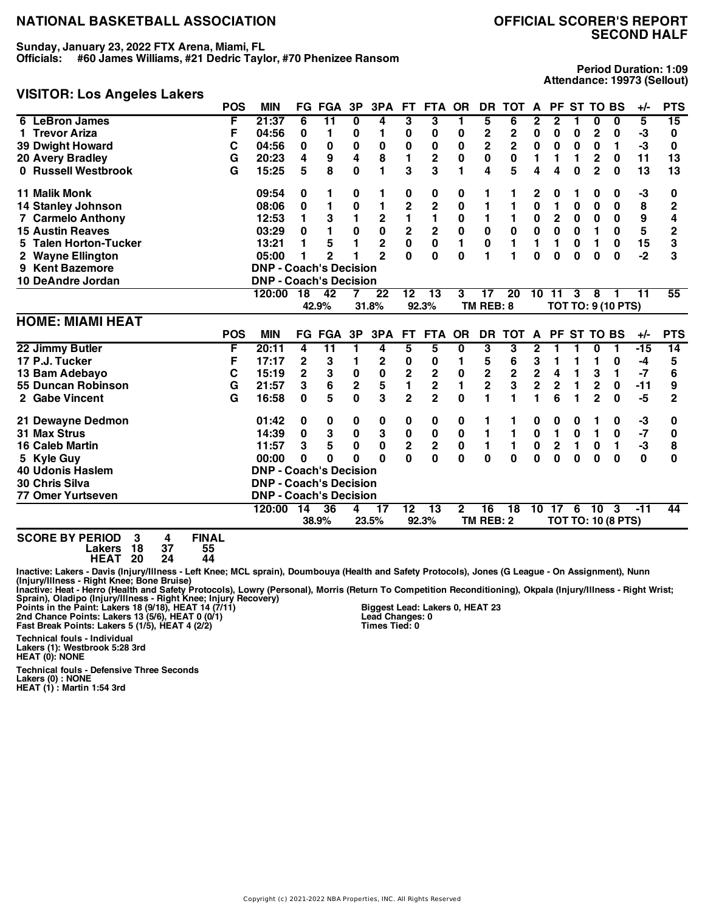**Sunday, January 23, 2022 FTX Arena, Miami, FL**

**Officials: #60 James Williams, #21 Dedric Taylor, #70 Phenizee Ransom**

#### **VISITOR: Los Angeles Lakers**

**Period Duration: 1:09 Attendance: 19973 (Sellout)**

|                                          | <b>POS</b> | <b>MIN</b>                    |              | <b>FG FGA</b>   | 3P               | 3PA              | <b>FT</b>                           | <b>FTA</b>              | <b>OR</b>               | DR.                          | <b>TOT</b>   | A                            |                              | PF ST TO BS |                               |                           | $+/-$       | <b>PTS</b>          |
|------------------------------------------|------------|-------------------------------|--------------|-----------------|------------------|------------------|-------------------------------------|-------------------------|-------------------------|------------------------------|--------------|------------------------------|------------------------------|-------------|-------------------------------|---------------------------|-------------|---------------------|
| 6 LeBron James                           | F          | 21:37                         | 6            | $\overline{11}$ | $\bf{0}$         | 4                | 3                                   | 3                       | 1                       | 5                            | 6            | 2                            | 2                            |             | 0                             | 0                         | 5           | $\overline{15}$     |
| 1 Trevor Ariza                           | F          | 04:56                         | 0            | 1               | 0                | 1                | 0                                   | 0                       | 0                       | $\mathbf 2$                  | $\mathbf 2$  | 0                            | 0                            | 0           | 2                             | 0                         | -3          | 0                   |
| <b>39 Dwight Howard</b>                  | С          | 04:56                         | 0            | 0               | $\pmb{0}$        | 0                | $\bf{0}$                            | 0                       | 0                       | $\mathbf 2$                  | $\mathbf 2$  | 0                            | $\bf{0}$                     | 0           | $\bf{0}$                      | 1                         | -3          | 0                   |
| 20 Avery Bradley                         | G          | 20:23                         | 4            | 9               | 4                | 8                | 1                                   | 2                       | 0                       | $\mathbf 0$                  | $\bf{0}$     | 1                            | 1                            | 1           | $\mathbf 2$                   | $\bf{0}$                  | 11          | 13                  |
| 0 Russell Westbrook                      | G          | 15:25                         | 5            | 8               | $\mathbf{0}$     | 1                | 3                                   | 3                       | 1                       | 4                            | 5            | 4                            | 4                            | $\bf{0}$    | $\overline{2}$                | $\bf{0}$                  | 13          | 13                  |
| <b>11 Malik Monk</b>                     |            | 09:54                         | 0            | 1               | 0                | 1                | 0                                   | 0                       | 0                       | 1                            | 1            | 2                            | 0                            |             | 0                             | 0                         | -3          | 0                   |
| 14 Stanley Johnson                       |            | 08:06                         | 0            | 1               | $\bf{0}$         | 1                | $\overline{\mathbf{c}}$             | $\overline{c}$          | 0                       |                              |              | $\bf{0}$                     | 1                            | 0           | $\bf{0}$                      | 0                         | 8           | $\overline{2}$      |
| <b>7 Carmelo Anthony</b>                 |            | 12:53                         | 1            | 3               | $\blacksquare$   | $\mathbf 2$      | $\mathbf{1}$                        | 1                       | 0                       | 1                            |              | 0                            | 2                            | 0           | 0                             | $\mathbf 0$               | 9           | 4                   |
| <b>15 Austin Reaves</b>                  |            | 03:29                         | 0            | 1               | $\bf{0}$         | $\mathbf 0$      | 2                                   | $\overline{\mathbf{2}}$ | $\bf{0}$                | $\bf{0}$                     | $\bf{0}$     | $\mathbf 0$                  | $\mathbf 0$                  | 0           | 1                             | $\mathbf 0$               | 5           | $\overline{2}$      |
| 5 Talen Horton-Tucker                    |            | 13:21                         | 1            | 5               | 1                | $\overline{2}$   | $\mathbf 0$                         | $\mathbf 0$             | 1                       | $\bf{0}$                     | $\mathbf{1}$ | 1                            | 1                            | $\bf{0}$    | 1                             | 0                         | 15          | 3                   |
| 2 Wayne Ellington                        |            | 05:00                         | 1            | $\mathbf{c}$    |                  | $\mathbf{z}$     | O                                   | $\bf{0}$                | $\bf{0}$                |                              |              | $\bf{0}$                     | $\bf{0}$                     | $\Omega$    | $\bf{0}$                      | $\bf{0}$                  | $-2$        | 3                   |
| 9 Kent Bazemore                          |            | <b>DNP - Coach's Decision</b> |              |                 |                  |                  |                                     |                         |                         |                              |              |                              |                              |             |                               |                           |             |                     |
| 10 DeAndre Jordan                        |            | <b>DNP - Coach's Decision</b> |              |                 |                  |                  |                                     |                         |                         |                              |              |                              |                              |             |                               |                           |             |                     |
|                                          |            | 120:00                        | 18           | 42              |                  | 22               | 12                                  | 13                      | 3                       | 17                           | 20           | 10                           | 11                           | 3           | 8                             |                           | 11          | 55                  |
|                                          |            |                               |              | 42.9%           |                  | 31.8%            |                                     | 92.3%                   |                         | TM REB: 8                    |              |                              |                              |             |                               | <b>TOT TO: 9 (10 PTS)</b> |             |                     |
| <b>HOME: MIAMI HEAT</b>                  |            |                               |              |                 |                  |                  |                                     |                         |                         |                              |              |                              |                              |             |                               |                           |             |                     |
|                                          |            |                               |              |                 |                  |                  |                                     |                         |                         |                              |              |                              |                              |             |                               |                           |             |                     |
|                                          | <b>POS</b> | <b>MIN</b>                    |              | <b>FG FGA</b>   | 3P               | 3PA              | FT.                                 | FTA OR                  |                         | <b>DR</b>                    | <b>TOT</b>   | A                            |                              | PF ST TO BS |                               |                           | $+/-$       | <b>PTS</b>          |
| 22 Jimmy Butler                          | F          | 20:11                         | 4            | $\overline{11}$ | 1                | 4                | 5                                   | 5                       | 0                       | 3                            | 3            | 2                            | 1                            | 1           | $\bf{0}$                      | 1                         | $-15$       | 14                  |
| 17 P.J. Tucker                           | F          | 17:17                         | $\mathbf{2}$ | 3               | 1                | 2                | 0                                   | 0                       | 1                       | 5                            | 6            | 3                            | 1                            | 1           | 1                             | 0                         | -4          | 5                   |
|                                          |            | 15:19                         | $\mathbf 2$  |                 |                  |                  |                                     |                         |                         |                              |              |                              | 4                            | 1           |                               | 1                         | $-7$        | 6                   |
| 13 Bam Adebayo<br>55 Duncan Robinson     | C          | 21:57                         | 3            | ${\bf 3}$       | $\pmb{0}$        | $\pmb{0}$        | $\overline{\mathbf{c}}$             | $\mathbf 2$             | $\bf{0}$<br>1           | $\mathbf 2$                  | $\mathbf 2$  | $\mathbf 2$                  |                              | 1           | 3                             |                           |             |                     |
| 2 Gabe Vincent                           | G<br>G     | 16:58                         | 0            | 6<br>5          | $\mathbf 2$<br>0 | 5<br>3           | 1<br>$\overline{2}$                 | 2<br>$\overline{2}$     | 0                       | $\overline{\mathbf{c}}$<br>1 | 3            | $\overline{\mathbf{c}}$<br>1 | 2<br>6                       |             | $\mathbf 2$<br>$\overline{2}$ | 0<br>$\bf{0}$             | $-11$<br>-5 | 9<br>$\overline{2}$ |
|                                          |            | 01:42                         | 0            | 0               | 0                |                  | 0                                   |                         |                         | 1                            | 1            | 0                            | 0                            | 0           |                               | 0                         | -3          | 0                   |
| 21 Dewayne Dedmon<br><b>31 Max Strus</b> |            | 14:39                         | 0            | 3               | $\pmb{0}$        | 0                |                                     | 0                       | 0                       | 1                            | 1            | $\pmb{0}$                    | 1                            | $\bf{0}$    | 1                             | 0                         | $-7$        | 0                   |
| <b>16 Caleb Martin</b>                   |            | 11:57                         | 3            | 5               | $\bf{0}$         | 3<br>$\mathbf 0$ | $\pmb{0}$                           | 0                       | 0                       | 1                            | 1            |                              |                              | 1           | $\bf{0}$                      | 1                         |             |                     |
|                                          |            | 00:00                         | $\bf{0}$     | $\mathbf{0}$    | $\Omega$         | $\Omega$         | $\overline{\mathbf{2}}$<br>$\Omega$ | $\mathbf 2$<br>0        | $\mathbf 0$<br>$\bf{0}$ | $\bf{0}$                     | $\bf{0}$     | $\pmb{0}$<br>$\bf{0}$        | $\overline{\mathbf{c}}$<br>0 | $\bf{0}$    | 0                             | $\bf{0}$                  | $-3$<br>0   | 8<br>$\bf{0}$       |
| 5 Kyle Guy<br><b>40 Udonis Haslem</b>    |            | <b>DNP - Coach's Decision</b> |              |                 |                  |                  |                                     |                         |                         |                              |              |                              |                              |             |                               |                           |             |                     |
| 30 Chris Silva                           |            | <b>DNP - Coach's Decision</b> |              |                 |                  |                  |                                     |                         |                         |                              |              |                              |                              |             |                               |                           |             |                     |
| 77 Omer Yurtseven                        |            | <b>DNP - Coach's Decision</b> |              |                 |                  |                  |                                     |                         |                         |                              |              |                              |                              |             |                               |                           |             |                     |
|                                          |            | 120:00                        | 14           | $\overline{36}$ | 4                | $\overline{17}$  | $\overline{12}$                     | $\overline{13}$         | $\mathbf{2}$            | 16                           | 18           | 10                           | 17                           | 6           | 10                            | -3                        | $-11$       | 44                  |
|                                          |            |                               |              | 38.9%           |                  | 23.5%            |                                     | 92.3%                   |                         | TM REB: 2                    |              |                              |                              |             |                               | <b>TOT TO: 10 (8 PTS)</b> |             |                     |

**SCORE BY PERIOD 3 4 FINAL Lakers 18 37 55 HEAT 20 24 44**

Inactive: Lakers - Davis (Injury/Illness - Left Knee; MCL sprain), Doumbouya (Health and Safety Protocols), Jones (G League - On Assignment), Nunn<br>(Injury/Illness - Right Knee; Bone Bruise)

Inactive: Heat - Herro (Health and Safety Protocols), Lowry (Personal), Morris (Return To Competition Reconditioning), Okpala (Injury/Illness - Right Wrist;<br>Points in the Paint: Lakers 18 (9/18), HEAT 1 (7/11)

**Biggest Lead: Lakers 0, HEAT 23 Lead Changes: 0 Times Tied: 0**

**Technical fouls - Individual Lakers (1): Westbrook 5:28 3rd HEAT (0): NONE**

**Technical fouls - Defensive Three Seconds Lakers (0) : NONE HEAT (1) : Martin 1:54 3rd**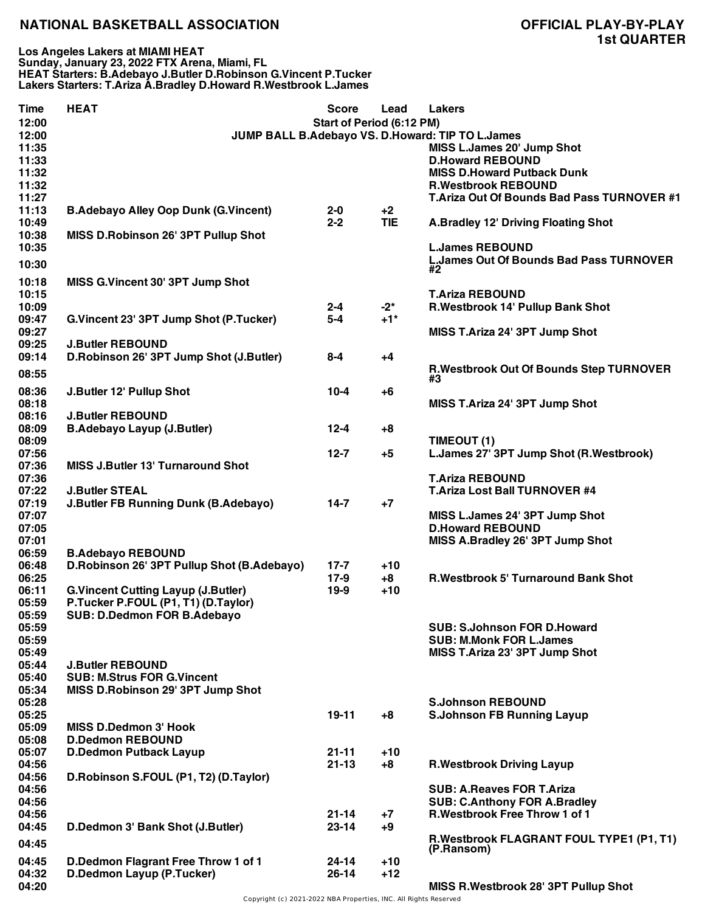**Los Angeles Lakers at MIAMI HEAT Sunday, January 23, 2022 FTX Arena, Miami, FL HEAT Starters: B.Adebayo J.Butler D.Robinson G.Vincent P.Tucker Lakers Starters: T.Ariza A.Bradley D.Howard R.Westbrook L.James**

| <b>Time</b> | <b>HEAT</b>                                 | Score                     | Lead       | <b>Lakers</b>                                    |
|-------------|---------------------------------------------|---------------------------|------------|--------------------------------------------------|
| 12:00       |                                             | Start of Period (6:12 PM) |            |                                                  |
| 12:00       |                                             |                           |            | JUMP BALL B.Adebayo VS. D.Howard: TIP TO L.James |
| 11:35       |                                             |                           |            | MISS L.James 20' Jump Shot                       |
| 11:33       |                                             |                           |            | <b>D.Howard REBOUND</b>                          |
| 11:32       |                                             |                           |            | <b>MISS D.Howard Putback Dunk</b>                |
| 11:32       |                                             |                           |            | <b>R.Westbrook REBOUND</b>                       |
| 11:27       |                                             |                           |            | T.Ariza Out Of Bounds Bad Pass TURNOVER #1       |
| 11:13       | <b>B.Adebayo Alley Oop Dunk (G.Vincent)</b> | $2 - 0$                   | $+2$       |                                                  |
| 10:49       |                                             | $2 - 2$                   | <b>TIE</b> | A.Bradley 12' Driving Floating Shot              |
| 10:38       | MISS D.Robinson 26' 3PT Pullup Shot         |                           |            |                                                  |
| 10:35       |                                             |                           |            | <b>L.James REBOUND</b>                           |
| 10:30       |                                             |                           |            | <b>L.James Out Of Bounds Bad Pass TURNOVER</b>   |
|             |                                             |                           |            | #2                                               |
| 10:18       | MISS G.Vincent 30' 3PT Jump Shot            |                           |            |                                                  |
| 10:15       |                                             |                           |            | <b>T.Ariza REBOUND</b>                           |
| 10:09       |                                             | $2 - 4$                   | $-2^*$     | R.Westbrook 14' Pullup Bank Shot                 |
| 09:47       | G.Vincent 23' 3PT Jump Shot (P.Tucker)      | $5-4$                     | $+1$ *     |                                                  |
| 09:27       |                                             |                           |            | MISS T.Ariza 24' 3PT Jump Shot                   |
| 09:25       | <b>J.Butler REBOUND</b>                     |                           |            |                                                  |
| 09:14       | D.Robinson 26' 3PT Jump Shot (J.Butler)     | $8 - 4$                   | $+4$       |                                                  |
| 08:55       |                                             |                           |            | R.Westbrook Out Of Bounds Step TURNOVER          |
|             |                                             |                           |            | #3                                               |
| 08:36       | J.Butler 12' Pullup Shot                    | $10 - 4$                  | +6         |                                                  |
| 08:18       |                                             |                           |            | MISS T.Ariza 24' 3PT Jump Shot                   |
| 08:16       | <b>J.Butler REBOUND</b>                     |                           |            |                                                  |
| 08:09       | <b>B.Adebayo Layup (J.Butler)</b>           | $12 - 4$                  | $+8$       |                                                  |
| 08:09       |                                             |                           |            | TIMEOUT (1)                                      |
| 07:56       |                                             | $12 - 7$                  | $+5$       | L.James 27' 3PT Jump Shot (R.Westbrook)          |
| 07:36       | <b>MISS J.Butler 13' Turnaround Shot</b>    |                           |            |                                                  |
| 07:36       |                                             |                           |            | <b>T.Ariza REBOUND</b>                           |
| 07:22       | <b>J.Butler STEAL</b>                       |                           |            | <b>T.Ariza Lost Ball TURNOVER #4</b>             |
| 07:19       | J.Butler FB Running Dunk (B.Adebayo)        | $14 - 7$                  | $+7$       |                                                  |
| 07:07       |                                             |                           |            | MISS L.James 24' 3PT Jump Shot                   |
| 07:05       |                                             |                           |            | <b>D.Howard REBOUND</b>                          |
| 07:01       |                                             |                           |            | MISS A.Bradley 26' 3PT Jump Shot                 |
| 06:59       | <b>B.Adebayo REBOUND</b>                    |                           |            |                                                  |
| 06:48       | D.Robinson 26' 3PT Pullup Shot (B.Adebayo)  | $17 - 7$                  | $+10$      |                                                  |
| 06:25       |                                             | 17-9                      | $+8$       | <b>R.Westbrook 5' Turnaround Bank Shot</b>       |
| 06:11       | <b>G.Vincent Cutting Layup (J.Butler)</b>   | $19-9$                    | $+10$      |                                                  |
| 05:59       | P.Tucker P.FOUL (P1, T1) (D.Taylor)         |                           |            |                                                  |
|             | SUB: D.Dedmon FOR B.Adebayo                 |                           |            |                                                  |
| 05:59       |                                             |                           |            |                                                  |
| 05:59       |                                             |                           |            | <b>SUB: S.Johnson FOR D.Howard</b>               |
| 05:59       |                                             |                           |            | <b>SUB: M.Monk FOR L.James</b>                   |
| 05:49       |                                             |                           |            | MISS T.Ariza 23' 3PT Jump Shot                   |
| 05:44       | <b>J.Butler REBOUND</b>                     |                           |            |                                                  |
| 05:40       | <b>SUB: M.Strus FOR G.Vincent</b>           |                           |            |                                                  |
| 05:34       | MISS D.Robinson 29' 3PT Jump Shot           |                           |            |                                                  |
| 05:28       |                                             |                           |            | <b>S.Johnson REBOUND</b>                         |
| 05:25       |                                             | $19 - 11$                 | $+8$       | <b>S.Johnson FB Running Layup</b>                |
| 05:09       | <b>MISS D.Dedmon 3' Hook</b>                |                           |            |                                                  |
| 05:08       | <b>D.Dedmon REBOUND</b>                     |                           |            |                                                  |
| 05:07       | <b>D.Dedmon Putback Layup</b>               | $21 - 11$                 | $+10$      |                                                  |
| 04:56       |                                             | $21 - 13$                 | $+8$       | <b>R.Westbrook Driving Layup</b>                 |
| 04:56       | D.Robinson S.FOUL (P1, T2) (D.Taylor)       |                           |            |                                                  |
| 04:56       |                                             |                           |            | <b>SUB: A.Reaves FOR T.Ariza</b>                 |
| 04:56       |                                             |                           |            | <b>SUB: C.Anthony FOR A.Bradley</b>              |
| 04:56       |                                             | $21 - 14$                 | $+7$       | R.Westbrook Free Throw 1 of 1                    |
| 04:45       | D.Dedmon 3' Bank Shot (J.Butler)            | $23 - 14$                 | $+9$       |                                                  |
| 04:45       |                                             |                           |            | R.Westbrook FLAGRANT FOUL TYPE1 (P1, T1)         |
|             |                                             |                           |            | (P.Ransom)                                       |
| 04:45       | D.Dedmon Flagrant Free Throw 1 of 1         | $24 - 14$                 | $+10$      |                                                  |
| 04:32       | D.Dedmon Layup (P.Tucker)                   | $26 - 14$                 | $+12$      |                                                  |
| 04:20       |                                             |                           |            | MISS R. Westbrook 28' 3PT Pullup Shot            |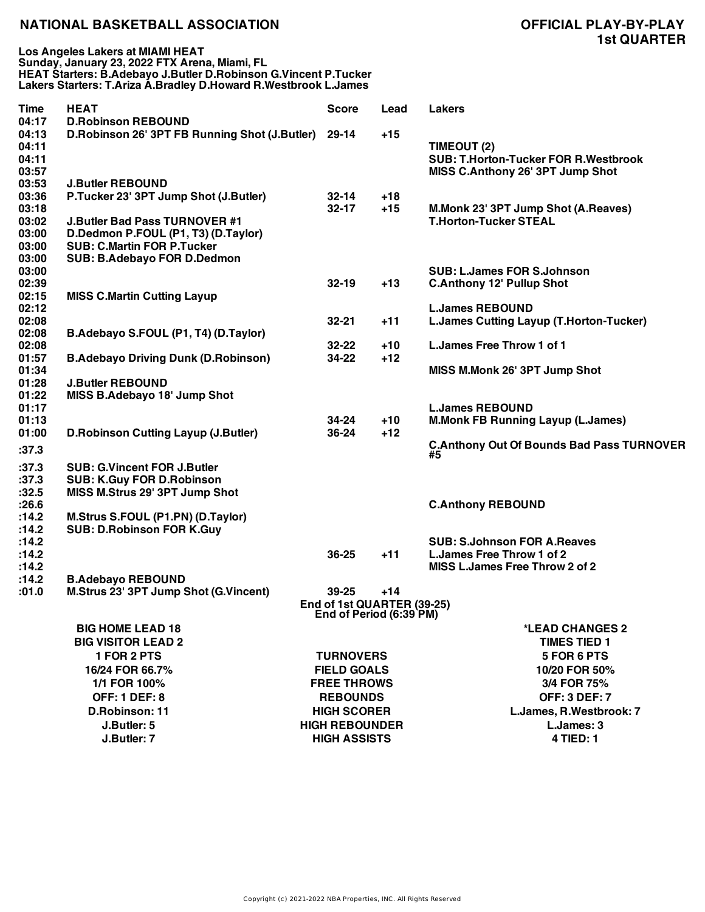| <b>Time</b>    | <b>HEAT</b>                                         | <b>Score</b>               | Lead  | <b>Lakers</b>                                                          |
|----------------|-----------------------------------------------------|----------------------------|-------|------------------------------------------------------------------------|
| 04:17          | <b>D.Robinson REBOUND</b>                           |                            |       |                                                                        |
| 04:13          | D.Robinson 26' 3PT FB Running Shot (J.Butler) 29-14 |                            | $+15$ |                                                                        |
| 04:11<br>04:11 |                                                     |                            |       | TIMEOUT (2)<br><b>SUB: T.Horton-Tucker FOR R.Westbrook</b>             |
| 03:57          |                                                     |                            |       | MISS C.Anthony 26' 3PT Jump Shot                                       |
| 03:53          | <b>J.Butler REBOUND</b>                             |                            |       |                                                                        |
| 03:36          | P.Tucker 23' 3PT Jump Shot (J.Butler)               | 32-14                      | $+18$ |                                                                        |
| 03:18          |                                                     | $32 - 17$                  | $+15$ | M.Monk 23' 3PT Jump Shot (A.Reaves)                                    |
| 03:02          | <b>J.Butler Bad Pass TURNOVER #1</b>                |                            |       | <b>T.Horton-Tucker STEAL</b>                                           |
| 03:00          | D.Dedmon P.FOUL (P1, T3) (D.Taylor)                 |                            |       |                                                                        |
| 03:00          | <b>SUB: C.Martin FOR P.Tucker</b>                   |                            |       |                                                                        |
| 03:00          | <b>SUB: B.Adebayo FOR D.Dedmon</b>                  |                            |       |                                                                        |
| 03:00          |                                                     |                            |       | <b>SUB: L.James FOR S.Johnson</b>                                      |
| 02:39          |                                                     | $32 - 19$                  | $+13$ | <b>C.Anthony 12' Pullup Shot</b>                                       |
| 02:15          | <b>MISS C.Martin Cutting Layup</b>                  |                            |       |                                                                        |
| 02:12          |                                                     |                            |       | <b>L.James REBOUND</b>                                                 |
| 02:08          |                                                     | $32 - 21$                  | $+11$ | L.James Cutting Layup (T.Horton-Tucker)                                |
| 02:08          | B.Adebayo S.FOUL (P1, T4) (D.Taylor)                |                            |       |                                                                        |
| 02:08          |                                                     | $32 - 22$                  | $+10$ | L. James Free Throw 1 of 1                                             |
| 01:57<br>01:34 | <b>B.Adebayo Driving Dunk (D.Robinson)</b>          | 34-22                      | $+12$ |                                                                        |
| 01:28          | <b>J.Butler REBOUND</b>                             |                            |       | MISS M.Monk 26' 3PT Jump Shot                                          |
| 01:22          | MISS B.Adebayo 18' Jump Shot                        |                            |       |                                                                        |
| 01:17          |                                                     |                            |       | <b>L.James REBOUND</b>                                                 |
| 01:13          |                                                     | 34-24                      | $+10$ | <b>M.Monk FB Running Layup (L.James)</b>                               |
| 01:00          | <b>D.Robinson Cutting Layup (J.Butler)</b>          | 36-24                      | $+12$ |                                                                        |
| :37.3          |                                                     |                            |       | <b>C.Anthony Out Of Bounds Bad Pass TURNOVER</b><br>#5                 |
| :37.3          | <b>SUB: G.Vincent FOR J.Butler</b>                  |                            |       |                                                                        |
| :37.3          | <b>SUB: K.Guy FOR D.Robinson</b>                    |                            |       |                                                                        |
| :32.5          | MISS M.Strus 29' 3PT Jump Shot                      |                            |       |                                                                        |
| :26.6          |                                                     |                            |       | <b>C.Anthony REBOUND</b>                                               |
| :14.2          | M.Strus S.FOUL (P1.PN) (D.Taylor)                   |                            |       |                                                                        |
| :14.2          | <b>SUB: D.Robinson FOR K.Guy</b>                    |                            |       |                                                                        |
| :14.2          |                                                     |                            |       | <b>SUB: S.Johnson FOR A.Reaves</b><br><b>L.James Free Throw 1 of 2</b> |
| :14.2<br>:14.2 |                                                     | 36-25                      | $+11$ | <b>MISS L.James Free Throw 2 of 2</b>                                  |
| :14.2          | <b>B.Adebayo REBOUND</b>                            |                            |       |                                                                        |
| .01.0          | M.Strus 23' 3PT Jump Shot (G.Vincent)               | 39-25                      | $+14$ |                                                                        |
|                |                                                     | End of 1st QUARTER (39-25) |       |                                                                        |
|                |                                                     | End of Period (6:39 PM)    |       |                                                                        |
|                | <b>BIG HOME LEAD 18</b>                             |                            |       | *LEAD CHANGES 2                                                        |
|                | <b>BIG VISITOR LEAD 2</b>                           |                            |       | <b>TIMES TIED 1</b>                                                    |
|                | 1 FOR 2 PTS                                         | <b>TURNOVERS</b>           |       | 5 FOR 6 PTS                                                            |
|                | 16/24 FOR 66.7%                                     | <b>FIELD GOALS</b>         |       | 10/20 FOR 50%                                                          |
|                | 1/1 FOR 100%                                        | <b>FREE THROWS</b>         |       | 3/4 FOR 75%                                                            |
|                | <b>OFF: 1 DEF: 8</b>                                | <b>REBOUNDS</b>            |       | <b>OFF: 3 DEF: 7</b>                                                   |
|                | D.Robinson: 11                                      | <b>HIGH SCORER</b>         |       | L.James, R.Westbrook: 7                                                |
|                | J.Butler: 5                                         | <b>HIGH REBOUNDER</b>      |       | L.James: 3                                                             |
|                | J.Butler: 7                                         | <b>HIGH ASSISTS</b>        |       | <b>4 TIED: 1</b>                                                       |
|                |                                                     |                            |       |                                                                        |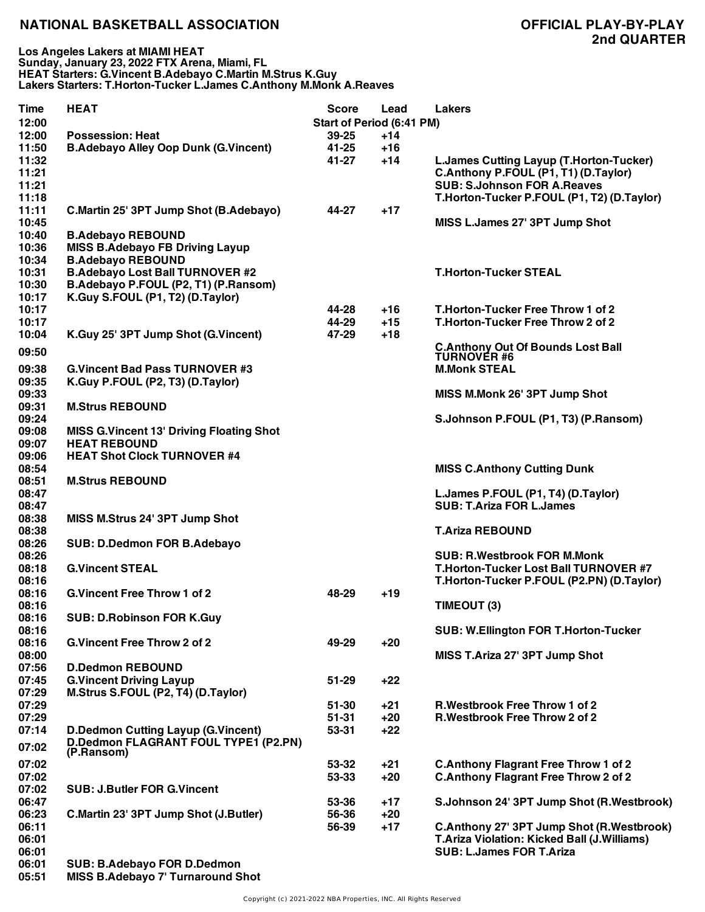| Time<br>12:00 | <b>HEAT</b>                                      | <b>Score</b><br>Start of Period (6:41 PM) | Lead  | <b>Lakers</b>                                                  |
|---------------|--------------------------------------------------|-------------------------------------------|-------|----------------------------------------------------------------|
| 12:00         | <b>Possession: Heat</b>                          | $39 - 25$                                 | $+14$ |                                                                |
| 11:50         | <b>B.Adebayo Alley Oop Dunk (G.Vincent)</b>      | 41-25                                     | $+16$ |                                                                |
| 11:32         |                                                  | 41-27                                     | $+14$ | L.James Cutting Layup (T.Horton-Tucker)                        |
| 11:21         |                                                  |                                           |       | C.Anthony P.FOUL (P1, T1) (D.Taylor)                           |
| 11:21         |                                                  |                                           |       | <b>SUB: S.Johnson FOR A.Reaves</b>                             |
| 11:18         |                                                  |                                           |       |                                                                |
|               |                                                  |                                           |       | T.Horton-Tucker P.FOUL (P1, T2) (D.Taylor)                     |
| 11:11         | C.Martin 25' 3PT Jump Shot (B.Adebayo)           | 44-27                                     | $+17$ |                                                                |
| 10:45         |                                                  |                                           |       | MISS L.James 27' 3PT Jump Shot                                 |
| 10:40         | <b>B.Adebayo REBOUND</b>                         |                                           |       |                                                                |
| 10:36         | <b>MISS B.Adebayo FB Driving Layup</b>           |                                           |       |                                                                |
| 10:34         | <b>B.Adebayo REBOUND</b>                         |                                           |       |                                                                |
| 10:31         | <b>B.Adebayo Lost Ball TURNOVER #2</b>           |                                           |       | <b>T.Horton-Tucker STEAL</b>                                   |
| 10:30         | B.Adebayo P.FOUL (P2, T1) (P.Ransom)             |                                           |       |                                                                |
| 10:17         | K.Guy S.FOUL (P1, T2) (D.Taylor)                 |                                           |       |                                                                |
| 10:17         |                                                  | 44-28                                     | $+16$ | T.Horton-Tucker Free Throw 1 of 2                              |
| 10:17         |                                                  | 44-29                                     | $+15$ | T.Horton-Tucker Free Throw 2 of 2                              |
|               |                                                  |                                           |       |                                                                |
| 10:04         | K.Guy 25' 3PT Jump Shot (G.Vincent)              | 47-29                                     | $+18$ |                                                                |
| 09:50         |                                                  |                                           |       | <b>C.Anthony Out Of Bounds Lost Ball</b><br><b>TURNOVER #6</b> |
|               |                                                  |                                           |       |                                                                |
| 09:38         | <b>G.Vincent Bad Pass TURNOVER #3</b>            |                                           |       | <b>M.Monk STEAL</b>                                            |
| 09:35         | K.Guy P.FOUL (P2, T3) (D.Taylor)                 |                                           |       |                                                                |
| 09:33         |                                                  |                                           |       | MISS M.Monk 26' 3PT Jump Shot                                  |
| 09:31         | <b>M.Strus REBOUND</b>                           |                                           |       |                                                                |
| 09:24         |                                                  |                                           |       | S.Johnson P.FOUL (P1, T3) (P.Ransom)                           |
| 09:08         | <b>MISS G. Vincent 13' Driving Floating Shot</b> |                                           |       |                                                                |
| 09:07         | <b>HEAT REBOUND</b>                              |                                           |       |                                                                |
| 09:06         | <b>HEAT Shot Clock TURNOVER #4</b>               |                                           |       |                                                                |
| 08:54         |                                                  |                                           |       | <b>MISS C.Anthony Cutting Dunk</b>                             |
| 08:51         | <b>M.Strus REBOUND</b>                           |                                           |       |                                                                |
| 08:47         |                                                  |                                           |       | L.James P.FOUL (P1, T4) (D.Taylor)                             |
|               |                                                  |                                           |       |                                                                |
| 08:47         |                                                  |                                           |       | <b>SUB: T.Ariza FOR L.James</b>                                |
| 08:38         | MISS M.Strus 24' 3PT Jump Shot                   |                                           |       |                                                                |
| 08:38         |                                                  |                                           |       | <b>T.Ariza REBOUND</b>                                         |
| 08:26         | <b>SUB: D.Dedmon FOR B.Adebayo</b>               |                                           |       |                                                                |
| 08:26         |                                                  |                                           |       | <b>SUB: R.Westbrook FOR M.Monk</b>                             |
| 08:18         | <b>G.Vincent STEAL</b>                           |                                           |       | T.Horton-Tucker Lost Ball TURNOVER #7                          |
| 08:16         |                                                  |                                           |       | T.Horton-Tucker P.FOUL (P2.PN) (D.Taylor)                      |
| 08:16         | <b>G. Vincent Free Throw 1 of 2</b>              | 48-29                                     | $+19$ |                                                                |
| 08:16         |                                                  |                                           |       | TIMEOUT (3)                                                    |
| 08:16         | <b>SUB: D.Robinson FOR K.Guy</b>                 |                                           |       |                                                                |
| 08:16         |                                                  |                                           |       | <b>SUB: W.Ellington FOR T.Horton-Tucker</b>                    |
| 08:16         | <b>G.Vincent Free Throw 2 of 2</b>               | 49-29                                     | $+20$ |                                                                |
|               |                                                  |                                           |       |                                                                |
| 08:00         |                                                  |                                           |       | MISS T.Ariza 27' 3PT Jump Shot                                 |
| 07:56         | <b>D.Dedmon REBOUND</b>                          |                                           |       |                                                                |
| 07:45         | <b>G.Vincent Driving Layup</b>                   | $51 - 29$                                 | $+22$ |                                                                |
| 07:29         | M.Strus S.FOUL (P2, T4) (D.Taylor)               |                                           |       |                                                                |
| 07:29         |                                                  | $51 - 30$                                 | $+21$ | <b>R.Westbrook Free Throw 1 of 2</b>                           |
| 07:29         |                                                  | $51 - 31$                                 | $+20$ | <b>R.Westbrook Free Throw 2 of 2</b>                           |
| 07:14         | <b>D.Dedmon Cutting Layup (G.Vincent)</b>        | 53-31                                     | $+22$ |                                                                |
|               | <b>D.Dedmon FLAGRANT FOUL TYPE1 (P2.PN)</b>      |                                           |       |                                                                |
| 07:02         | (P.Ransom)                                       |                                           |       |                                                                |
| 07:02         |                                                  | 53-32                                     | $+21$ | <b>C.Anthony Flagrant Free Throw 1 of 2</b>                    |
| 07:02         |                                                  | 53-33                                     | $+20$ | <b>C.Anthony Flagrant Free Throw 2 of 2</b>                    |
| 07:02         | <b>SUB: J.Butler FOR G.Vincent</b>               |                                           |       |                                                                |
| 06:47         |                                                  | 53-36                                     | $+17$ | S.Johnson 24' 3PT Jump Shot (R.Westbrook)                      |
|               |                                                  |                                           |       |                                                                |
| 06:23         | C.Martin 23' 3PT Jump Shot (J.Butler)            | 56-36                                     | $+20$ |                                                                |
| 06:11         |                                                  | 56-39                                     | $+17$ | C.Anthony 27' 3PT Jump Shot (R.Westbrook)                      |
| 06:01         |                                                  |                                           |       | T.Ariza Violation: Kicked Ball (J.Williams)                    |
| 06:01         |                                                  |                                           |       | <b>SUB: L.James FOR T.Ariza</b>                                |
| 06:01         | <b>SUB: B.Adebayo FOR D.Dedmon</b>               |                                           |       |                                                                |

**05:51 MISS B.Adebayo 7' Turnaround Shot**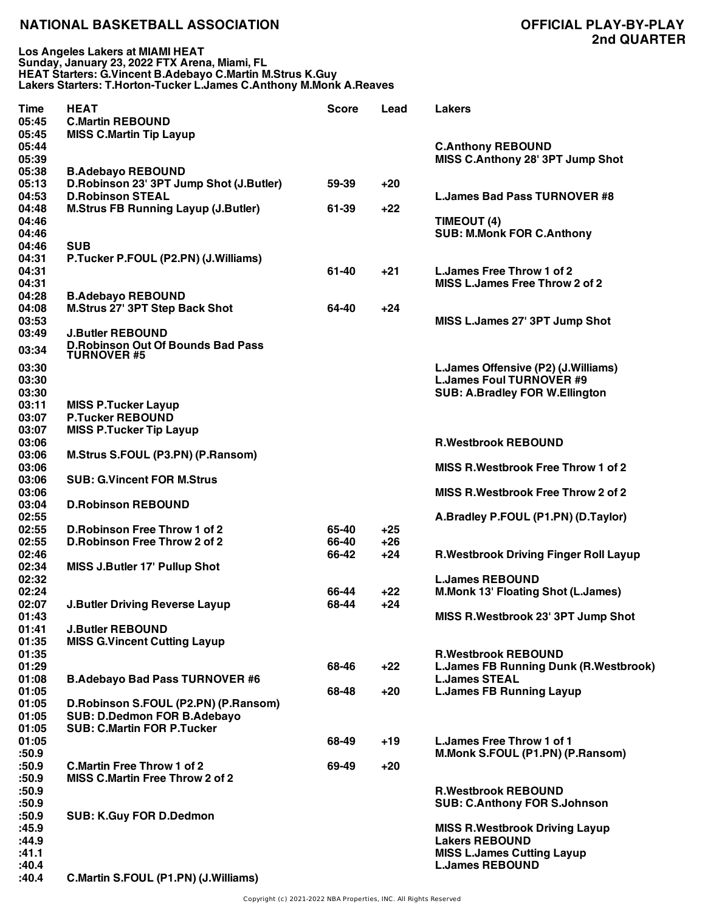**Los Angeles Lakers at MIAMI HEAT Sunday, January 23, 2022 FTX Arena, Miami, FL HEAT Starters: G.Vincent B.Adebayo C.Martin M.Strus K.Guy Lakers Starters: T.Horton-Tucker L.James C.Anthony M.Monk A.Reaves**

| Time  | <b>HEAT</b>                                | Score | Lead  | <b>Lakers</b>                                |
|-------|--------------------------------------------|-------|-------|----------------------------------------------|
| 05:45 | <b>C.Martin REBOUND</b>                    |       |       |                                              |
| 05:45 | <b>MISS C.Martin Tip Layup</b>             |       |       |                                              |
| 05:44 |                                            |       |       | <b>C.Anthony REBOUND</b>                     |
| 05:39 |                                            |       |       | MISS C.Anthony 28' 3PT Jump Shot             |
| 05:38 | <b>B.Adebayo REBOUND</b>                   |       |       |                                              |
| 05:13 | D.Robinson 23' 3PT Jump Shot (J.Butler)    | 59-39 | +20   |                                              |
| 04:53 | <b>D.Robinson STEAL</b>                    |       |       | <b>L.James Bad Pass TURNOVER #8</b>          |
| 04:48 | <b>M.Strus FB Running Layup (J.Butler)</b> | 61-39 | $+22$ |                                              |
| 04:46 |                                            |       |       | TIMEOUT (4)                                  |
| 04:46 |                                            |       |       | <b>SUB: M.Monk FOR C.Anthony</b>             |
| 04:46 | <b>SUB</b>                                 |       |       |                                              |
| 04:31 | P.Tucker P.FOUL (P2.PN) (J.Williams)       |       |       |                                              |
| 04:31 |                                            | 61-40 | $+21$ | L. James Free Throw 1 of 2                   |
| 04:31 |                                            |       |       | MISS L. James Free Throw 2 of 2              |
| 04:28 | <b>B.Adebayo REBOUND</b>                   |       |       |                                              |
| 04:08 | <b>M.Strus 27' 3PT Step Back Shot</b>      | 64-40 | $+24$ |                                              |
| 03:53 |                                            |       |       | MISS L.James 27' 3PT Jump Shot               |
| 03:49 | <b>J.Butler REBOUND</b>                    |       |       |                                              |
|       | <b>D.Robinson Out Of Bounds Bad Pass</b>   |       |       |                                              |
| 03:34 | <b>TURNOVER #5</b>                         |       |       |                                              |
| 03:30 |                                            |       |       | L.James Offensive (P2) (J.Williams)          |
| 03:30 |                                            |       |       | <b>L.James Foul TURNOVER #9</b>              |
| 03:30 |                                            |       |       | <b>SUB: A.Bradley FOR W.Ellington</b>        |
| 03:11 | <b>MISS P.Tucker Layup</b>                 |       |       |                                              |
| 03:07 | <b>P.Tucker REBOUND</b>                    |       |       |                                              |
| 03:07 | <b>MISS P.Tucker Tip Layup</b>             |       |       |                                              |
| 03:06 |                                            |       |       | <b>R.Westbrook REBOUND</b>                   |
| 03:06 | M.Strus S.FOUL (P3.PN) (P.Ransom)          |       |       |                                              |
| 03:06 |                                            |       |       | <b>MISS R. Westbrook Free Throw 1 of 2</b>   |
| 03:06 | <b>SUB: G.Vincent FOR M.Strus</b>          |       |       |                                              |
| 03:06 |                                            |       |       | <b>MISS R. Westbrook Free Throw 2 of 2</b>   |
| 03:04 | <b>D.Robinson REBOUND</b>                  |       |       |                                              |
| 02:55 |                                            |       |       |                                              |
| 02:55 | D. Robinson Free Throw 1 of 2              | 65-40 | $+25$ | A.Bradley P.FOUL (P1.PN) (D.Taylor)          |
| 02:55 | D. Robinson Free Throw 2 of 2              | 66-40 |       |                                              |
|       |                                            |       | $+26$ |                                              |
| 02:46 |                                            | 66-42 | $+24$ | <b>R.Westbrook Driving Finger Roll Layup</b> |
| 02:34 | <b>MISS J.Butler 17' Pullup Shot</b>       |       |       |                                              |
| 02:32 |                                            |       |       | <b>L.James REBOUND</b>                       |
| 02:24 |                                            | 66-44 | $+22$ | <b>M.Monk 13' Floating Shot (L.James)</b>    |
| 02:07 | <b>J.Butler Driving Reverse Layup</b>      | 68-44 | $+24$ |                                              |
| 01:43 |                                            |       |       | MISS R.Westbrook 23' 3PT Jump Shot           |
| 01:41 | <b>J.Butler REBOUND</b>                    |       |       |                                              |
| 01:35 | <b>MISS G.Vincent Cutting Layup</b>        |       |       |                                              |
| 01:35 |                                            |       |       | <b>R.Westbrook REBOUND</b>                   |
| 01:29 |                                            | 68-46 | $+22$ | <b>L.James FB Running Dunk (R.Westbrook)</b> |
| 01:08 | <b>B.Adebayo Bad Pass TURNOVER #6</b>      |       |       | <b>L.James STEAL</b>                         |
| 01:05 |                                            | 68-48 | $+20$ | <b>L.James FB Running Layup</b>              |
| 01:05 | D.Robinson S.FOUL (P2.PN) (P.Ransom)       |       |       |                                              |
| 01:05 | SUB: D.Dedmon FOR B.Adebayo                |       |       |                                              |
| 01:05 | <b>SUB: C.Martin FOR P.Tucker</b>          |       |       |                                              |
| 01:05 |                                            | 68-49 | +19   | L. James Free Throw 1 of 1                   |
| :50.9 |                                            |       |       | M.Monk S.FOUL (P1.PN) (P.Ransom)             |
| :50.9 | <b>C.Martin Free Throw 1 of 2</b>          | 69-49 | $+20$ |                                              |
| :50.9 | <b>MISS C.Martin Free Throw 2 of 2</b>     |       |       |                                              |
| :50.9 |                                            |       |       | <b>R.Westbrook REBOUND</b>                   |
| :50.9 |                                            |       |       | <b>SUB: C.Anthony FOR S.Johnson</b>          |
| :50.9 | <b>SUB: K.Guy FOR D.Dedmon</b>             |       |       |                                              |
| :45.9 |                                            |       |       | <b>MISS R. Westbrook Driving Layup</b>       |
| :44.9 |                                            |       |       | <b>Lakers REBOUND</b>                        |
| :41.1 |                                            |       |       | <b>MISS L.James Cutting Layup</b>            |
| :40.4 |                                            |       |       | <b>L.James REBOUND</b>                       |
| :40.4 | C.Martin S.FOUL (P1.PN) (J.Williams)       |       |       |                                              |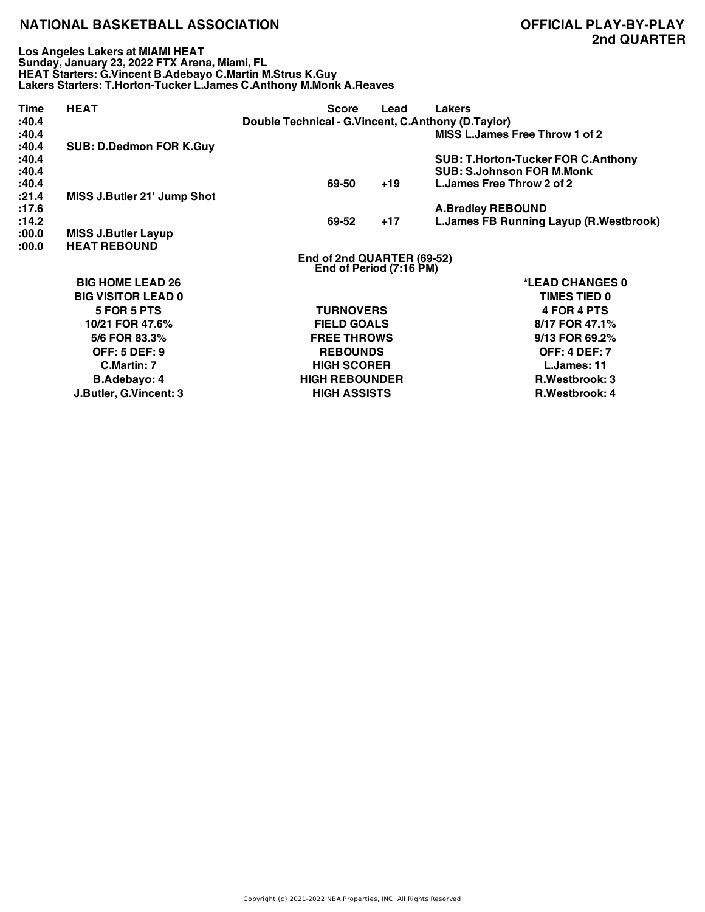**Los Angeles Lakers at MIAMI HEAT Sunday, January 23, 2022 FTX Arena, Miami, FL HEAT Starters: G.Vincent B.Adebayo C.Martin M.Strus K.Guy Lakers Starters: T.Horton-Tucker L.James C.Anthony M.Monk A.Reaves**

| Time           | <b>HEAT</b>                    | <b>Score</b>                                          | Lead  | <b>Lakers</b>                                                                 |  |  |
|----------------|--------------------------------|-------------------------------------------------------|-------|-------------------------------------------------------------------------------|--|--|
| :40.4          |                                | Double Technical - G.Vincent, C.Anthony (D.Taylor)    |       |                                                                               |  |  |
| :40.4<br>:40.4 | <b>SUB: D.Dedmon FOR K.Guy</b> |                                                       |       | MISS L.James Free Throw 1 of 2                                                |  |  |
| :40.4<br>:40.4 |                                |                                                       |       | <b>SUB: T.Horton-Tucker FOR C.Anthony</b><br><b>SUB: S.Johnson FOR M.Monk</b> |  |  |
| :40.4          |                                | 69-50                                                 | $+19$ | L. James Free Throw 2 of 2                                                    |  |  |
| :21.4          | MISS J.Butler 21' Jump Shot    |                                                       |       |                                                                               |  |  |
| :17.6          |                                |                                                       |       | <b>A.Bradley REBOUND</b>                                                      |  |  |
| :14.2          |                                | 69-52                                                 | $+17$ | L. James FB Running Layup (R. Westbrook)                                      |  |  |
| :00.0          | <b>MISS J.Butler Layup</b>     |                                                       |       |                                                                               |  |  |
| :00.0          | <b>HEAT REBOUND</b>            |                                                       |       |                                                                               |  |  |
|                |                                | End of 2nd QUARTER (69-52)<br>End of Period (7:16 PM) |       |                                                                               |  |  |
|                | <b>BIG HOME LEAD 26</b>        |                                                       |       | *LEAD CHANGES 0                                                               |  |  |
|                | <b>BIG VISITOR LEAD 0</b>      |                                                       |       | <b>TIMES TIED 0</b>                                                           |  |  |
|                | 5 FOR 5 PTS                    | <b>TURNOVERS</b>                                      |       | 4 FOR 4 PTS                                                                   |  |  |
|                | 10/21 FOR 47.6%                | <b>FIELD GOALS</b>                                    |       | 8/17 FOR 47.1%                                                                |  |  |
|                | 5/6 FOR 83.3%                  | <b>FREE THROWS</b>                                    |       | 9/13 FOR 69.2%                                                                |  |  |
|                | <b>OFF: 5 DEF: 9</b>           | <b>REBOUNDS</b>                                       |       | <b>OFF: 4 DEF: 7</b>                                                          |  |  |
|                | C.Martin: 7                    | <b>HIGH SCORER</b>                                    |       | L.James: 11                                                                   |  |  |
|                | <b>B.Adebayo: 4</b>            | <b>HIGH REBOUNDER</b>                                 |       | <b>R.Westbrook: 3</b>                                                         |  |  |
|                | J.Butler, G.Vincent: 3         | <b>HIGH ASSISTS</b>                                   |       | <b>R.Westbrook: 4</b>                                                         |  |  |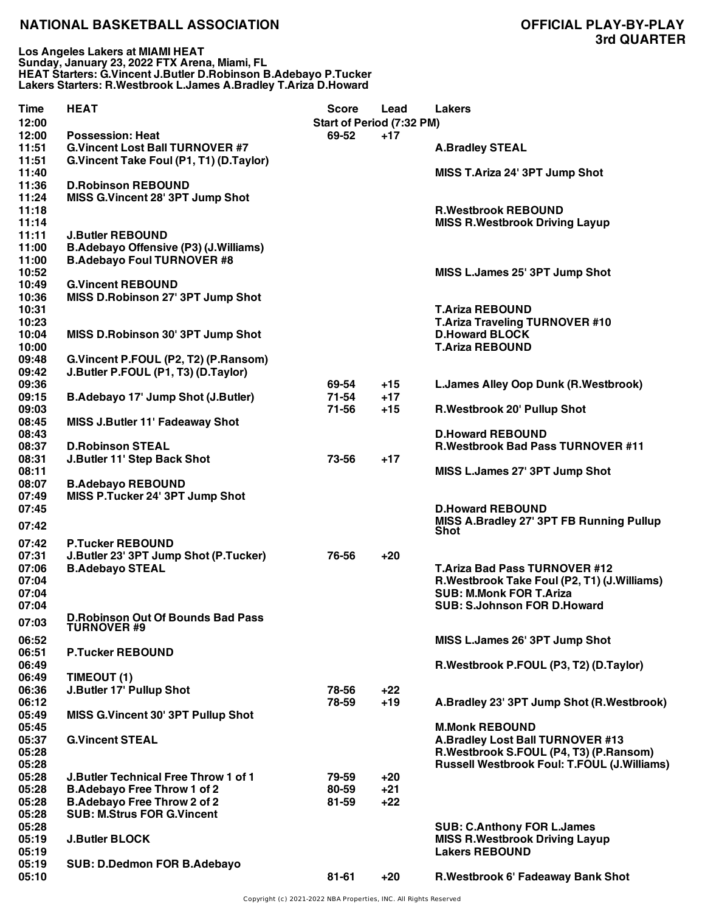**Los Angeles Lakers at MIAMI HEAT Sunday, January 23, 2022 FTX Arena, Miami, FL HEAT Starters: G.Vincent J.Butler D.Robinson B.Adebayo P.Tucker Lakers Starters: R.Westbrook L.James A.Bradley T.Ariza D.Howard**

| <b>Time</b><br>12:00 | <b>HEAT</b>                                                                 | Score<br>Start of Period (7:32 PM) | Lead  | <b>Lakers</b>                                      |
|----------------------|-----------------------------------------------------------------------------|------------------------------------|-------|----------------------------------------------------|
| 12:00                | <b>Possession: Heat</b>                                                     | 69-52                              | $+17$ |                                                    |
| 11:51                | <b>G.Vincent Lost Ball TURNOVER #7</b>                                      |                                    |       | <b>A.Bradley STEAL</b>                             |
| 11:51                | G.Vincent Take Foul (P1, T1) (D.Taylor)                                     |                                    |       |                                                    |
| 11:40                |                                                                             |                                    |       | MISS T.Ariza 24' 3PT Jump Shot                     |
| 11:36                | <b>D.Robinson REBOUND</b>                                                   |                                    |       |                                                    |
| 11:24                | MISS G.Vincent 28' 3PT Jump Shot                                            |                                    |       |                                                    |
| 11:18                |                                                                             |                                    |       | <b>R.Westbrook REBOUND</b>                         |
| 11:14                |                                                                             |                                    |       | <b>MISS R. Westbrook Driving Layup</b>             |
| 11:11                | <b>J.Butler REBOUND</b>                                                     |                                    |       |                                                    |
| 11:00                | <b>B.Adebayo Offensive (P3) (J.Williams)</b>                                |                                    |       |                                                    |
| 11:00                | <b>B.Adebayo Foul TURNOVER #8</b>                                           |                                    |       |                                                    |
| 10:52                |                                                                             |                                    |       | MISS L.James 25' 3PT Jump Shot                     |
| 10:49                | <b>G.Vincent REBOUND</b>                                                    |                                    |       |                                                    |
| 10:36                | MISS D.Robinson 27' 3PT Jump Shot                                           |                                    |       |                                                    |
| 10:31                |                                                                             |                                    |       | <b>T.Ariza REBOUND</b>                             |
| 10:23                |                                                                             |                                    |       | <b>T.Ariza Traveling TURNOVER #10</b>              |
| 10:04                | MISS D.Robinson 30' 3PT Jump Shot                                           |                                    |       | <b>D.Howard BLOCK</b>                              |
| 10:00                |                                                                             |                                    |       | <b>T.Ariza REBOUND</b>                             |
| 09:48<br>09:42       | G.Vincent P.FOUL (P2, T2) (P.Ransom)<br>J.Butler P.FOUL (P1, T3) (D.Taylor) |                                    |       |                                                    |
| 09:36                |                                                                             | 69-54                              | $+15$ | L.James Alley Oop Dunk (R.Westbrook)               |
| 09:15                | B.Adebayo 17' Jump Shot (J.Butler)                                          | 71-54                              | $+17$ |                                                    |
| 09:03                |                                                                             | 71-56                              | $+15$ | R. Westbrook 20' Pullup Shot                       |
| 08:45                | MISS J.Butler 11' Fadeaway Shot                                             |                                    |       |                                                    |
| 08:43                |                                                                             |                                    |       | <b>D.Howard REBOUND</b>                            |
| 08:37                | <b>D.Robinson STEAL</b>                                                     |                                    |       | <b>R.Westbrook Bad Pass TURNOVER #11</b>           |
| 08:31                | J.Butler 11' Step Back Shot                                                 | 73-56                              | $+17$ |                                                    |
| 08:11                |                                                                             |                                    |       | MISS L.James 27' 3PT Jump Shot                     |
| 08:07                | <b>B.Adebayo REBOUND</b>                                                    |                                    |       |                                                    |
| 07:49                | MISS P.Tucker 24' 3PT Jump Shot                                             |                                    |       |                                                    |
| 07:45                |                                                                             |                                    |       | <b>D.Howard REBOUND</b>                            |
| 07:42                |                                                                             |                                    |       | MISS A.Bradley 27' 3PT FB Running Pullup           |
|                      |                                                                             |                                    |       | <b>Shot</b>                                        |
| 07:42<br>07:31       | <b>P.Tucker REBOUND</b><br>J.Butler 23' 3PT Jump Shot (P.Tucker)            |                                    | $+20$ |                                                    |
| 07:06                | <b>B.Adebayo STEAL</b>                                                      | 76-56                              |       | <b>T.Ariza Bad Pass TURNOVER #12</b>               |
| 07:04                |                                                                             |                                    |       | R.Westbrook Take Foul (P2, T1) (J.Williams)        |
| 07:04                |                                                                             |                                    |       | <b>SUB: M.Monk FOR T.Ariza</b>                     |
| 07:04                |                                                                             |                                    |       | <b>SUB: S.Johnson FOR D.Howard</b>                 |
|                      | <b>D.Robinson Out Of Bounds Bad Pass</b>                                    |                                    |       |                                                    |
| 07:03                | <b>TURNOVER #9</b>                                                          |                                    |       |                                                    |
| 06:52                |                                                                             |                                    |       | MISS L.James 26' 3PT Jump Shot                     |
| 06:51                | <b>P.Tucker REBOUND</b>                                                     |                                    |       |                                                    |
| 06:49                |                                                                             |                                    |       | R.Westbrook P.FOUL (P3, T2) (D.Taylor)             |
| 06:49                | TIMEOUT (1)                                                                 |                                    |       |                                                    |
| 06:36                | J.Butler 17' Pullup Shot                                                    | 78-56                              | $+22$ |                                                    |
| 06:12                |                                                                             | 78-59                              | $+19$ | A.Bradley 23' 3PT Jump Shot (R.Westbrook)          |
| 05:49                | MISS G.Vincent 30' 3PT Pullup Shot                                          |                                    |       |                                                    |
| 05:45                |                                                                             |                                    |       | <b>M.Monk REBOUND</b>                              |
| 05:37                | <b>G.Vincent STEAL</b>                                                      |                                    |       | A.Bradley Lost Ball TURNOVER #13                   |
| 05:28                |                                                                             |                                    |       | R.Westbrook S.FOUL (P4, T3) (P.Ransom)             |
| 05:28<br>05:28       | <b>J.Butler Technical Free Throw 1 of 1</b>                                 | 79-59                              | $+20$ | <b>Russell Westbrook Foul: T.FOUL (J.Williams)</b> |
| 05:28                | <b>B.Adebayo Free Throw 1 of 2</b>                                          | 80-59                              | $+21$ |                                                    |
| 05:28                | <b>B.Adebayo Free Throw 2 of 2</b>                                          | 81-59                              | $+22$ |                                                    |
| 05:28                | <b>SUB: M.Strus FOR G.Vincent</b>                                           |                                    |       |                                                    |
| 05:28                |                                                                             |                                    |       | <b>SUB: C.Anthony FOR L.James</b>                  |
| 05:19                | <b>J.Butler BLOCK</b>                                                       |                                    |       | <b>MISS R.Westbrook Driving Layup</b>              |
| 05:19                |                                                                             |                                    |       | <b>Lakers REBOUND</b>                              |
| 05:19                | SUB: D.Dedmon FOR B.Adebayo                                                 |                                    |       |                                                    |
| 05:10                |                                                                             | $81 - 61$                          | $+20$ | R.Westbrook 6' Fadeaway Bank Shot                  |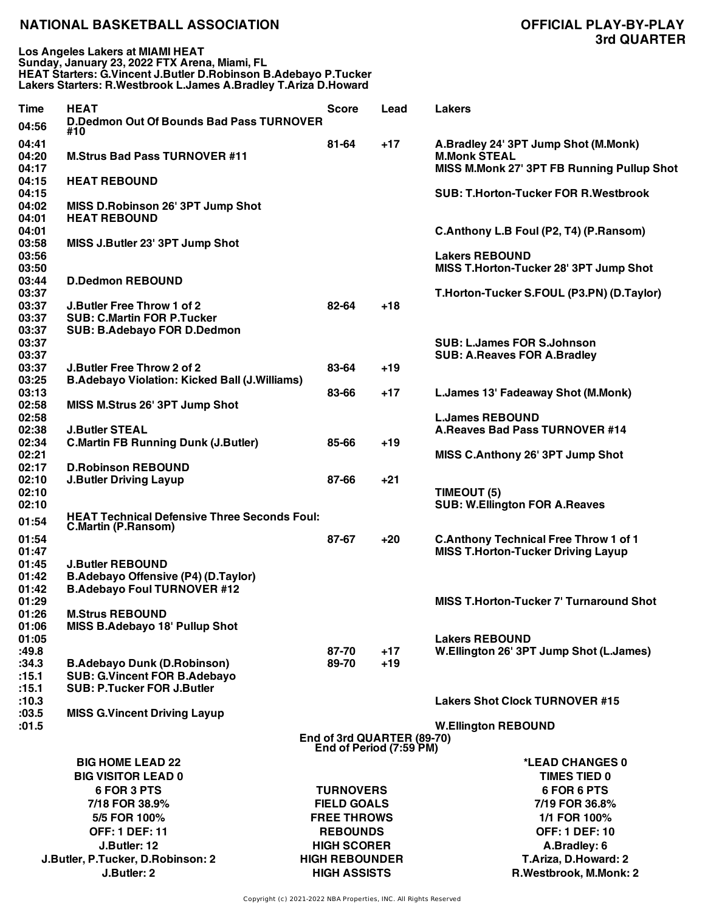**Los Angeles Lakers at MIAMI HEAT Sunday, January 23, 2022 FTX Arena, Miami, FL HEAT Starters: G.Vincent J.Butler D.Robinson B.Adebayo P.Tucker Lakers Starters: R.Westbrook L.James A.Bradley T.Ariza D.Howard**

| Time           | <b>HEAT</b>                                          | Score                      | Lead  | <b>Lakers</b>                                                   |
|----------------|------------------------------------------------------|----------------------------|-------|-----------------------------------------------------------------|
| 04:56          | D.Dedmon Out Of Bounds Bad Pass TURNOVER             |                            |       |                                                                 |
|                | #10                                                  |                            |       |                                                                 |
| 04:41          |                                                      | $81 - 64$                  | $+17$ | A.Bradley 24' 3PT Jump Shot (M.Monk)                            |
| 04:20          | <b>M.Strus Bad Pass TURNOVER #11</b>                 |                            |       | <b>M.Monk STEAL</b>                                             |
| 04:17          |                                                      |                            |       | MISS M.Monk 27' 3PT FB Running Pullup Shot                      |
| 04:15<br>04:15 | <b>HEAT REBOUND</b>                                  |                            |       | <b>SUB: T.Horton-Tucker FOR R.Westbrook</b>                     |
| 04:02          | MISS D.Robinson 26' 3PT Jump Shot                    |                            |       |                                                                 |
| 04:01          | <b>HEAT REBOUND</b>                                  |                            |       |                                                                 |
| 04:01          |                                                      |                            |       | C.Anthony L.B Foul (P2, T4) (P.Ransom)                          |
| 03:58          | MISS J.Butler 23' 3PT Jump Shot                      |                            |       |                                                                 |
| 03:56          |                                                      |                            |       | <b>Lakers REBOUND</b>                                           |
| 03:50          |                                                      |                            |       | MISS T.Horton-Tucker 28' 3PT Jump Shot                          |
| 03:44          | <b>D.Dedmon REBOUND</b>                              |                            |       |                                                                 |
| 03:37          |                                                      |                            |       | T.Horton-Tucker S.FOUL (P3.PN) (D.Taylor)                       |
| 03:37          | <b>J.Butler Free Throw 1 of 2</b>                    | 82-64                      | $+18$ |                                                                 |
| 03:37          | <b>SUB: C.Martin FOR P.Tucker</b>                    |                            |       |                                                                 |
| 03:37          | <b>SUB: B.Adebayo FOR D.Dedmon</b>                   |                            |       |                                                                 |
| 03:37          |                                                      |                            |       | <b>SUB: L.James FOR S.Johnson</b>                               |
| 03:37          |                                                      |                            |       | <b>SUB: A.Reaves FOR A.Bradley</b>                              |
| 03:37          | J.Butler Free Throw 2 of 2                           | 83-64                      | $+19$ |                                                                 |
| 03:25          | <b>B.Adebayo Violation: Kicked Ball (J.Williams)</b> |                            |       |                                                                 |
| 03:13          |                                                      | 83-66                      | $+17$ | L.James 13' Fadeaway Shot (M.Monk)                              |
| 02:58          | MISS M.Strus 26' 3PT Jump Shot                       |                            |       |                                                                 |
| 02:58          | <b>J.Butler STEAL</b>                                |                            |       | <b>L.James REBOUND</b><br><b>A.Reaves Bad Pass TURNOVER #14</b> |
| 02:38<br>02:34 | <b>C.Martin FB Running Dunk (J.Butler)</b>           | 85-66                      | $+19$ |                                                                 |
| 02:21          |                                                      |                            |       | MISS C.Anthony 26' 3PT Jump Shot                                |
| 02:17          | <b>D.Robinson REBOUND</b>                            |                            |       |                                                                 |
| 02:10          | <b>J.Butler Driving Layup</b>                        | 87-66                      | $+21$ |                                                                 |
| 02:10          |                                                      |                            |       | TIMEOUT (5)                                                     |
| 02:10          |                                                      |                            |       | <b>SUB: W.Ellington FOR A.Reaves</b>                            |
|                | <b>HEAT Technical Defensive Three Seconds Foul:</b>  |                            |       |                                                                 |
| 01:54          | C.Martin (P.Ransom)                                  |                            |       |                                                                 |
| 01:54          |                                                      | 87-67                      | $+20$ | <b>C.Anthony Technical Free Throw 1 of 1</b>                    |
| 01:47          |                                                      |                            |       | <b>MISS T.Horton-Tucker Driving Layup</b>                       |
| 01:45          | <b>J.Butler REBOUND</b>                              |                            |       |                                                                 |
| 01:42          | B.Adebayo Offensive (P4) (D.Taylor)                  |                            |       |                                                                 |
| 01:42          | <b>B.Adebayo Foul TURNOVER #12</b>                   |                            |       |                                                                 |
| 01:29<br>01:26 | <b>M.Strus REBOUND</b>                               |                            |       | <b>MISS T.Horton-Tucker 7' Turnaround Shot</b>                  |
| 01:06          | MISS B.Adebayo 18' Pullup Shot                       |                            |       |                                                                 |
| 01:05          |                                                      |                            |       | <b>Lakers REBOUND</b>                                           |
| :49.8          |                                                      | 87-70                      | $+17$ | W.Ellington 26' 3PT Jump Shot (L.James)                         |
| :34.3          | <b>B.Adebayo Dunk (D.Robinson)</b>                   | 89-70                      | $+19$ |                                                                 |
| :15.1          | <b>SUB: G.Vincent FOR B.Adebayo</b>                  |                            |       |                                                                 |
| :15.1          | <b>SUB: P.Tucker FOR J.Butler</b>                    |                            |       |                                                                 |
| :10.3          |                                                      |                            |       | <b>Lakers Shot Clock TURNOVER #15</b>                           |
| :03.5          | <b>MISS G. Vincent Driving Layup</b>                 |                            |       |                                                                 |
| :01.5          |                                                      |                            |       | <b>W.Ellington REBOUND</b>                                      |
|                |                                                      | End of 3rd QUARTER (89-70) |       |                                                                 |
|                |                                                      | End of Period (7:59 PM)    |       |                                                                 |
|                | <b>BIG HOME LEAD 22</b>                              |                            |       | *LEAD CHANGES 0                                                 |
|                | <b>BIG VISITOR LEAD 0</b>                            |                            |       | <b>TIMES TIED 0</b>                                             |
|                | 6 FOR 3 PTS                                          | <b>TURNOVERS</b>           |       | 6 FOR 6 PTS                                                     |
|                | 7/18 FOR 38.9%                                       | <b>FIELD GOALS</b>         |       | 7/19 FOR 36.8%                                                  |
|                | 5/5 FOR 100%                                         | <b>FREE THROWS</b>         |       | 1/1 FOR 100%                                                    |
|                | <b>OFF: 1 DEF: 11</b>                                | <b>REBOUNDS</b>            |       | <b>OFF: 1 DEF: 10</b>                                           |
|                | J.Butler: 12                                         | <b>HIGH SCORER</b>         |       | A.Bradley: 6                                                    |
|                | J.Butler, P.Tucker, D.Robinson: 2                    | <b>HIGH REBOUNDER</b>      |       | T.Ariza, D.Howard: 2                                            |
|                | J.Butler: 2                                          | <b>HIGH ASSISTS</b>        |       | R.Westbrook, M.Monk: 2                                          |
|                |                                                      |                            |       |                                                                 |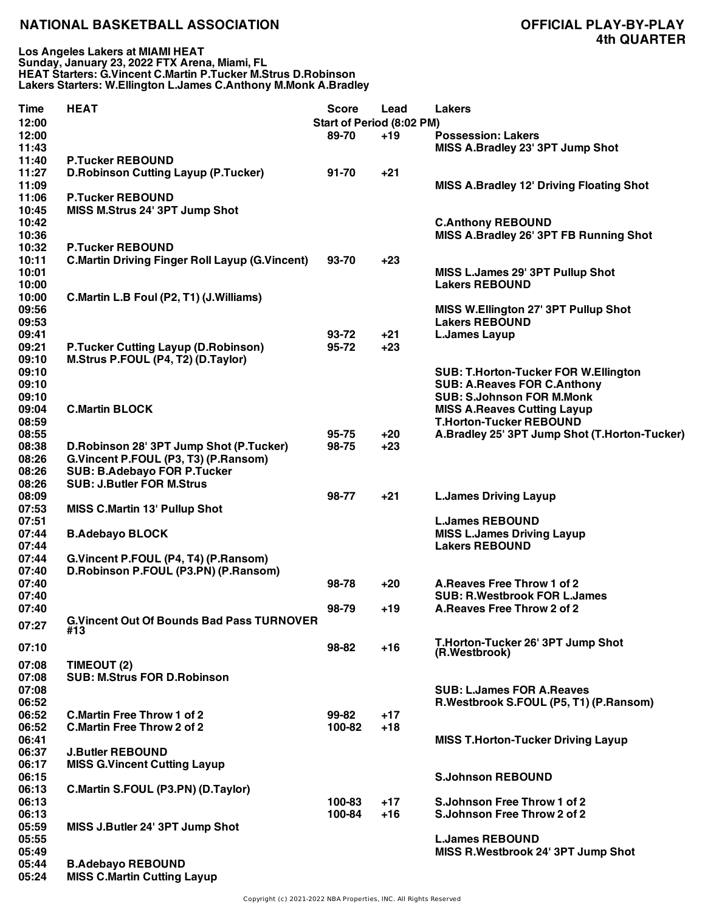| Time  | <b>HEAT</b>                                           | <b>Score</b>              | Lead  | <b>Lakers</b>                                   |
|-------|-------------------------------------------------------|---------------------------|-------|-------------------------------------------------|
| 12:00 |                                                       | Start of Period (8:02 PM) |       |                                                 |
| 12:00 |                                                       | 89-70                     | $+19$ | <b>Possession: Lakers</b>                       |
| 11:43 |                                                       |                           |       | MISS A.Bradley 23' 3PT Jump Shot                |
| 11:40 | <b>P.Tucker REBOUND</b>                               |                           |       |                                                 |
| 11:27 |                                                       |                           | $+21$ |                                                 |
|       | <b>D.Robinson Cutting Layup (P.Tucker)</b>            | 91-70                     |       |                                                 |
| 11:09 |                                                       |                           |       | <b>MISS A.Bradley 12' Driving Floating Shot</b> |
| 11:06 | <b>P.Tucker REBOUND</b>                               |                           |       |                                                 |
| 10:45 | MISS M.Strus 24' 3PT Jump Shot                        |                           |       |                                                 |
| 10:42 |                                                       |                           |       | <b>C.Anthony REBOUND</b>                        |
| 10:36 |                                                       |                           |       | MISS A.Bradley 26' 3PT FB Running Shot          |
| 10:32 | <b>P.Tucker REBOUND</b>                               |                           |       |                                                 |
| 10:11 | <b>C.Martin Driving Finger Roll Layup (G.Vincent)</b> | 93-70                     | $+23$ |                                                 |
| 10:01 |                                                       |                           |       | MISS L.James 29' 3PT Pullup Shot                |
| 10:00 |                                                       |                           |       | <b>Lakers REBOUND</b>                           |
| 10:00 | C.Martin L.B Foul (P2, T1) (J.Williams)               |                           |       |                                                 |
|       |                                                       |                           |       |                                                 |
| 09:56 |                                                       |                           |       | MISS W.Ellington 27' 3PT Pullup Shot            |
| 09:53 |                                                       |                           |       | <b>Lakers REBOUND</b>                           |
| 09:41 |                                                       | 93-72                     | +21   | <b>L.James Layup</b>                            |
| 09:21 | <b>P.Tucker Cutting Layup (D.Robinson)</b>            | 95-72                     | $+23$ |                                                 |
| 09:10 | M.Strus P.FOUL (P4, T2) (D.Taylor)                    |                           |       |                                                 |
| 09:10 |                                                       |                           |       | <b>SUB: T.Horton-Tucker FOR W.Ellington</b>     |
| 09:10 |                                                       |                           |       | <b>SUB: A.Reaves FOR C.Anthony</b>              |
| 09:10 |                                                       |                           |       | <b>SUB: S.Johnson FOR M.Monk</b>                |
| 09:04 | <b>C.Martin BLOCK</b>                                 |                           |       | <b>MISS A.Reaves Cutting Layup</b>              |
|       |                                                       |                           |       |                                                 |
| 08:59 |                                                       |                           |       | <b>T.Horton-Tucker REBOUND</b>                  |
| 08:55 |                                                       | 95-75                     | $+20$ | A.Bradley 25' 3PT Jump Shot (T.Horton-Tucker)   |
| 08:38 | D.Robinson 28' 3PT Jump Shot (P.Tucker)               | 98-75                     | $+23$ |                                                 |
| 08:26 | G.Vincent P.FOUL (P3, T3) (P.Ransom)                  |                           |       |                                                 |
| 08:26 | <b>SUB: B.Adebayo FOR P.Tucker</b>                    |                           |       |                                                 |
| 08:26 | <b>SUB: J.Butler FOR M.Strus</b>                      |                           |       |                                                 |
| 08:09 |                                                       | 98-77                     | $+21$ | <b>L.James Driving Layup</b>                    |
| 07:53 | <b>MISS C.Martin 13' Pullup Shot</b>                  |                           |       |                                                 |
| 07:51 |                                                       |                           |       | <b>L.James REBOUND</b>                          |
| 07:44 | <b>B.Adebayo BLOCK</b>                                |                           |       | <b>MISS L.James Driving Layup</b>               |
|       |                                                       |                           |       |                                                 |
| 07:44 |                                                       |                           |       | <b>Lakers REBOUND</b>                           |
| 07:44 | G.Vincent P.FOUL (P4, T4) (P.Ransom)                  |                           |       |                                                 |
| 07:40 | D.Robinson P.FOUL (P3.PN) (P.Ransom)                  |                           |       |                                                 |
| 07:40 |                                                       | 98-78                     | $+20$ | A.Reaves Free Throw 1 of 2                      |
| 07:40 |                                                       |                           |       | <b>SUB: R.Westbrook FOR L.James</b>             |
| 07:40 |                                                       | 98-79                     | +19   | A. Reaves Free Throw 2 of 2                     |
|       | <b>G.Vincent Out Of Bounds Bad Pass TURNOVER</b>      |                           |       |                                                 |
| 07:27 | #13                                                   |                           |       |                                                 |
|       |                                                       |                           |       | T.Horton-Tucker 26' 3PT Jump Shot               |
| 07:10 |                                                       | 98-82                     | $+16$ | (R.Westbrook)                                   |
| 07:08 | TIMEOUT (2)                                           |                           |       |                                                 |
| 07:08 | <b>SUB: M.Strus FOR D.Robinson</b>                    |                           |       |                                                 |
| 07:08 |                                                       |                           |       | <b>SUB: L.James FOR A.Reaves</b>                |
|       |                                                       |                           |       |                                                 |
| 06:52 |                                                       |                           |       | R.Westbrook S.FOUL (P5, T1) (P.Ransom)          |
| 06:52 | <b>C.Martin Free Throw 1 of 2</b>                     | 99-82                     | $+17$ |                                                 |
| 06:52 | <b>C.Martin Free Throw 2 of 2</b>                     | 100-82                    | $+18$ |                                                 |
| 06:41 |                                                       |                           |       | <b>MISS T.Horton-Tucker Driving Layup</b>       |
| 06:37 | <b>J.Butler REBOUND</b>                               |                           |       |                                                 |
| 06:17 | <b>MISS G. Vincent Cutting Layup</b>                  |                           |       |                                                 |
| 06:15 |                                                       |                           |       | <b>S.Johnson REBOUND</b>                        |
| 06:13 | C.Martin S.FOUL (P3.PN) (D.Taylor)                    |                           |       |                                                 |
|       |                                                       |                           |       |                                                 |
| 06:13 |                                                       | 100-83                    | $+17$ | S.Johnson Free Throw 1 of 2                     |
| 06:13 |                                                       | 100-84                    | $+16$ | S.Johnson Free Throw 2 of 2                     |
| 05:59 | MISS J.Butler 24' 3PT Jump Shot                       |                           |       |                                                 |
| 05:55 |                                                       |                           |       | <b>L.James REBOUND</b>                          |
| 05:49 |                                                       |                           |       | MISS R.Westbrook 24' 3PT Jump Shot              |
| 05:44 | <b>B.Adebayo REBOUND</b>                              |                           |       |                                                 |
| 05:24 | <b>MISS C.Martin Cutting Layup</b>                    |                           |       |                                                 |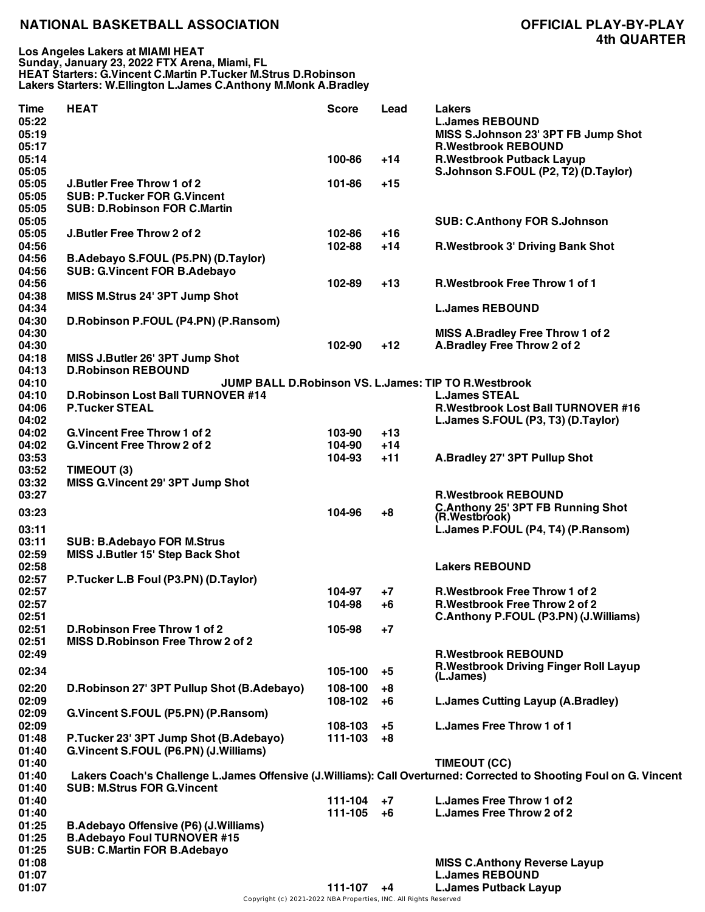| Time<br>05:22<br>05:19 | <b>HEAT</b>                                  | <b>Score</b>     | Lead     | Lakers<br><b>L.James REBOUND</b><br>MISS S.Johnson 23' 3PT FB Jump Shot                                                            |
|------------------------|----------------------------------------------|------------------|----------|------------------------------------------------------------------------------------------------------------------------------------|
| 05:17<br>05:14         |                                              | 100-86           | $+14$    | <b>R.Westbrook REBOUND</b><br><b>R.Westbrook Putback Layup</b>                                                                     |
| 05:05<br>05:05         | J.Butler Free Throw 1 of 2                   | 101-86           | +15      | S.Johnson S.FOUL (P2, T2) (D.Taylor)                                                                                               |
| 05:05<br>05:05         | <b>SUB: P.Tucker FOR G.Vincent</b>           |                  |          |                                                                                                                                    |
| 05:05                  | <b>SUB: D.Robinson FOR C.Martin</b>          |                  |          | <b>SUB: C.Anthony FOR S.Johnson</b>                                                                                                |
| 05:05                  | J.Butler Free Throw 2 of 2                   | 102-86           | $+16$    |                                                                                                                                    |
| 04:56                  |                                              | 102-88           | $+14$    | R. Westbrook 3' Driving Bank Shot                                                                                                  |
| 04:56                  | B.Adebayo S.FOUL (P5.PN) (D.Taylor)          |                  |          |                                                                                                                                    |
| 04:56                  | <b>SUB: G.Vincent FOR B.Adebayo</b>          |                  |          |                                                                                                                                    |
| 04:56<br>04:38         | MISS M.Strus 24' 3PT Jump Shot               | 102-89           | $+13$    | <b>R.Westbrook Free Throw 1 of 1</b>                                                                                               |
| 04:34                  |                                              |                  |          | <b>L.James REBOUND</b>                                                                                                             |
| 04:30                  | D.Robinson P.FOUL (P4.PN) (P.Ransom)         |                  |          |                                                                                                                                    |
| 04:30                  |                                              |                  |          | MISS A.Bradley Free Throw 1 of 2                                                                                                   |
| 04:30                  |                                              | 102-90           | $+12$    | A.Bradley Free Throw 2 of 2                                                                                                        |
| 04:18                  | MISS J.Butler 26' 3PT Jump Shot              |                  |          |                                                                                                                                    |
| 04:13                  | <b>D.Robinson REBOUND</b>                    |                  |          |                                                                                                                                    |
| 04:10<br>04:10         | <b>D.Robinson Lost Ball TURNOVER #14</b>     |                  |          | JUMP BALL D.Robinson VS. L.James: TIP TO R.Westbrook<br><b>L.James STEAL</b>                                                       |
| 04:06                  | <b>P.Tucker STEAL</b>                        |                  |          | <b>R.Westbrook Lost Ball TURNOVER #16</b>                                                                                          |
| 04:02                  |                                              |                  |          | L.James S.FOUL (P3, T3) (D.Taylor)                                                                                                 |
| 04:02                  | <b>G.Vincent Free Throw 1 of 2</b>           | 103-90           | $+13$    |                                                                                                                                    |
| 04:02                  | <b>G.Vincent Free Throw 2 of 2</b>           | 104-90           | $+14$    |                                                                                                                                    |
| 03:53                  |                                              | 104-93           | $+11$    | A.Bradley 27' 3PT Pullup Shot                                                                                                      |
| 03:52                  | TIMEOUT (3)                                  |                  |          |                                                                                                                                    |
| 03:32                  | MISS G.Vincent 29' 3PT Jump Shot             |                  |          |                                                                                                                                    |
| 03:27                  |                                              |                  |          | <b>R.Westbrook REBOUND</b><br><b>C.Anthony 25' 3PT FB Running Shot</b>                                                             |
| 03:23<br>03:11         |                                              | 104-96           | +8       | (R.Westbrook)<br>L.James P.FOUL (P4, T4) (P.Ransom)                                                                                |
| 03:11                  | <b>SUB: B.Adebayo FOR M.Strus</b>            |                  |          |                                                                                                                                    |
| 02:59                  | MISS J.Butler 15' Step Back Shot             |                  |          |                                                                                                                                    |
| 02:58                  |                                              |                  |          | <b>Lakers REBOUND</b>                                                                                                              |
| 02:57                  | P.Tucker L.B Foul (P3.PN) (D.Taylor)         |                  |          |                                                                                                                                    |
| 02:57<br>02:57         |                                              | 104-97<br>104-98 | +7<br>+6 | <b>R.Westbrook Free Throw 1 of 2</b><br>R. Westbrook Free Throw 2 of 2                                                             |
| 02:51                  |                                              |                  |          | C.Anthony P.FOUL (P3.PN) (J.Williams)                                                                                              |
| 02:51                  | D. Robinson Free Throw 1 of 2                | 105-98           | +7       |                                                                                                                                    |
| 02:51                  | MISS D.Robinson Free Throw 2 of 2            |                  |          |                                                                                                                                    |
| 02:49                  |                                              |                  |          | <b>R.Westbrook REBOUND</b>                                                                                                         |
| 02:34                  |                                              | 105-100          | +5       | <b>R.Westbrook Driving Finger Roll Layup</b><br>(L.James)                                                                          |
| 02:20                  | D.Robinson 27' 3PT Pullup Shot (B.Adebayo)   | 108-100          | +8       |                                                                                                                                    |
| 02:09                  |                                              | 108-102          | +6       | <b>L.James Cutting Layup (A.Bradley)</b>                                                                                           |
| 02:09                  | G.Vincent S.FOUL (P5.PN) (P.Ransom)          |                  |          |                                                                                                                                    |
| 02:09                  |                                              | 108-103          | +5       | L. James Free Throw 1 of 1                                                                                                         |
| 01:48                  | P.Tucker 23' 3PT Jump Shot (B.Adebayo)       | 111-103          | +8       |                                                                                                                                    |
| 01:40                  | G.Vincent S.FOUL (P6.PN) (J.Williams)        |                  |          |                                                                                                                                    |
| 01:40                  |                                              |                  |          | TIMEOUT (CC)<br>Lakers Coach's Challenge L.James Offensive (J.Williams): Call Overturned: Corrected to Shooting Foul on G. Vincent |
| 01:40<br>01:40         | <b>SUB: M.Strus FOR G.Vincent</b>            |                  |          |                                                                                                                                    |
| 01:40                  |                                              | 111-104          | $+7$     | L. James Free Throw 1 of 2                                                                                                         |
| 01:40                  |                                              | 111-105          | +6       | <b>L.James Free Throw 2 of 2</b>                                                                                                   |
| 01:25                  | <b>B.Adebayo Offensive (P6) (J.Williams)</b> |                  |          |                                                                                                                                    |
| 01:25                  | <b>B.Adebayo Foul TURNOVER #15</b>           |                  |          |                                                                                                                                    |
| 01:25                  | <b>SUB: C.Martin FOR B.Adebayo</b>           |                  |          |                                                                                                                                    |
| 01:08                  |                                              |                  |          | <b>MISS C.Anthony Reverse Layup</b>                                                                                                |
| 01:07<br>01:07         |                                              | $111-107 +4$     |          | <b>L.James REBOUND</b><br><b>L.James Putback Layup</b>                                                                             |
|                        |                                              |                  |          |                                                                                                                                    |